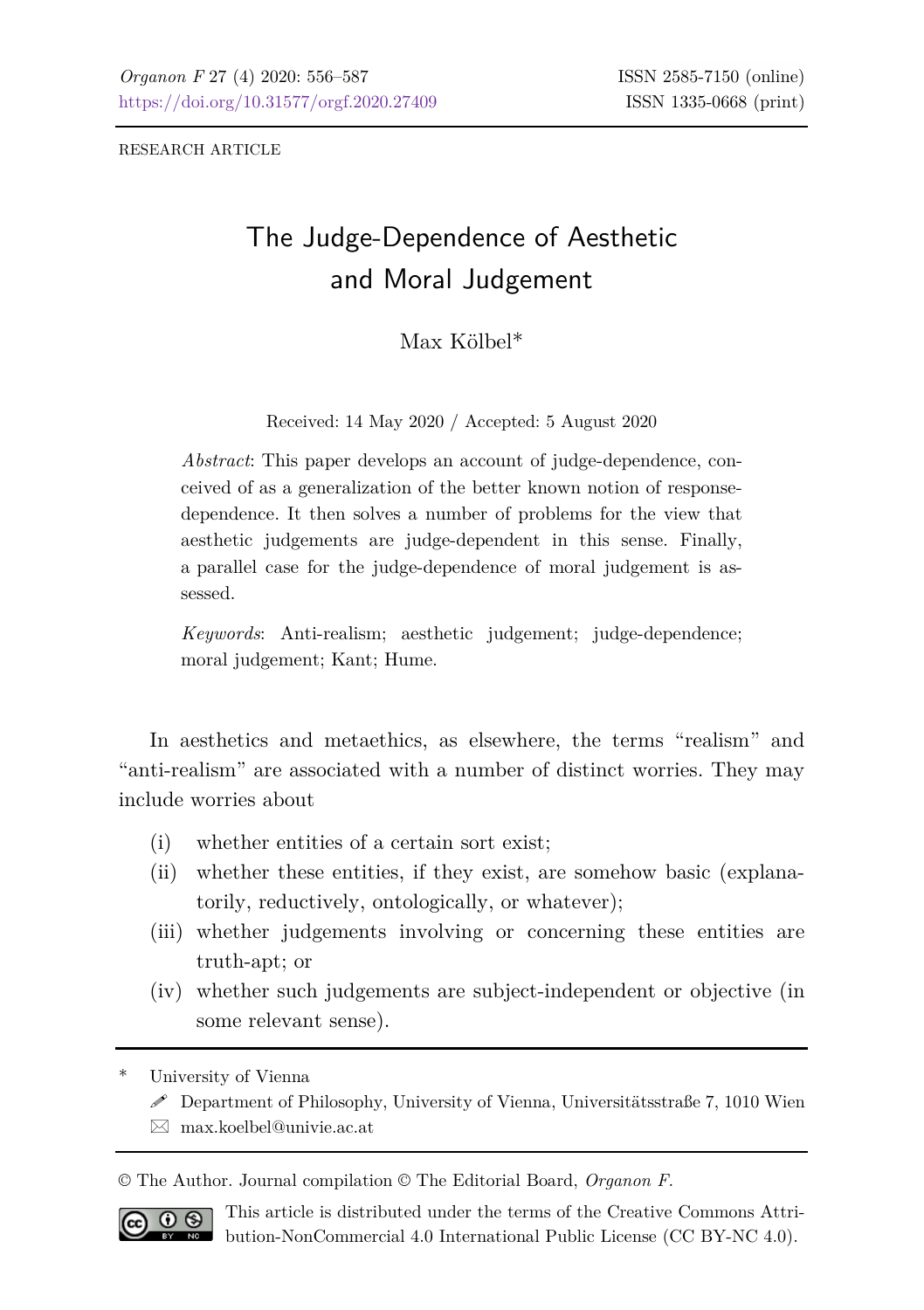RESEARCH ARTICLE

# The Judge-Dependence of Aesthetic and Moral Judgement

## Max Kölbel\*

Received: 14 May 2020 / Accepted: 5 August 2020

*Abstract*: This paper develops an account of judge-dependence, conceived of as a generalization of the better known notion of responsedependence. It then solves a number of problems for the view that aesthetic judgements are judge-dependent in this sense. Finally, a parallel case for the judge-dependence of moral judgement is assessed.

*Keywords*: Anti-realism; aesthetic judgement; judge-dependence; moral judgement; Kant; Hume.

In aesthetics and metaethics, as elsewhere, the terms "realism" and "anti-realism" are associated with a number of distinct worries. They may include worries about

- (i) whether entities of a certain sort exist;
- (ii) whether these entities, if they exist, are somehow basic (explanatorily, reductively, ontologically, or whatever);
- (iii) whether judgements involving or concerning these entities are truth-apt; or
- (iv) whether such judgements are subject-independent or objective (in some relevant sense).

University of Vienna

- $\mathscr S$  Department of Philosophy, University of Vienna, Universitätsstraße 7, 1010 Wien
- $\boxtimes$  [max.koelbel@univie.ac.at](mailto:max.koelbel@univie.ac.at)

© The Author. Journal compilation © The Editorial Board, *Organon F*.



This article is distributed under the terms of the Creative Commons Attribution-NonCommercial 4.0 International Public License (CC BY-NC 4.0).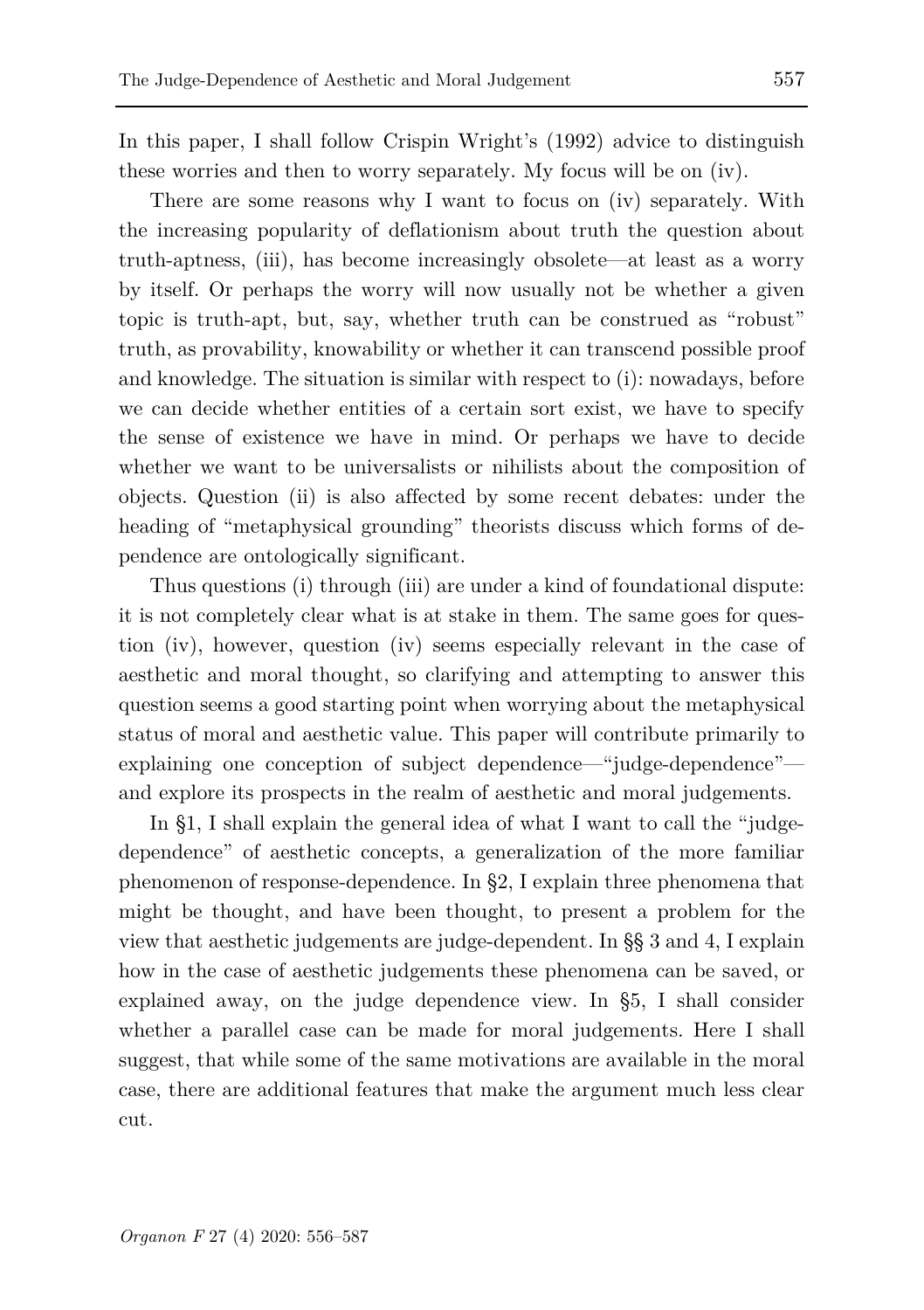In this paper, I shall follow Crispin Wright's (1992) advice to distinguish these worries and then to worry separately. My focus will be on (iv).

There are some reasons why I want to focus on (iv) separately. With the increasing popularity of deflationism about truth the question about truth-aptness, (iii), has become increasingly obsolete—at least as a worry by itself. Or perhaps the worry will now usually not be whether a given topic is truth-apt, but, say, whether truth can be construed as "robust" truth, as provability, knowability or whether it can transcend possible proof and knowledge. The situation is similar with respect to (i): nowadays, before we can decide whether entities of a certain sort exist, we have to specify the sense of existence we have in mind. Or perhaps we have to decide whether we want to be universalists or nihilists about the composition of objects. Question (ii) is also affected by some recent debates: under the heading of "metaphysical grounding" theorists discuss which forms of dependence are ontologically significant.

Thus questions (i) through (iii) are under a kind of foundational dispute: it is not completely clear what is at stake in them. The same goes for question (iv), however, question (iv) seems especially relevant in the case of aesthetic and moral thought, so clarifying and attempting to answer this question seems a good starting point when worrying about the metaphysical status of moral and aesthetic value. This paper will contribute primarily to explaining one conception of subject dependence—"judge-dependence" and explore its prospects in the realm of aesthetic and moral judgements.

In §1, I shall explain the general idea of what I want to call the "judgedependence" of aesthetic concepts, a generalization of the more familiar phenomenon of response-dependence. In §2, I explain three phenomena that might be thought, and have been thought, to present a problem for the view that aesthetic judgements are judge-dependent. In §§ 3 and 4, I explain how in the case of aesthetic judgements these phenomena can be saved, or explained away, on the judge dependence view. In §5, I shall consider whether a parallel case can be made for moral judgements. Here I shall suggest, that while some of the same motivations are available in the moral case, there are additional features that make the argument much less clear cut.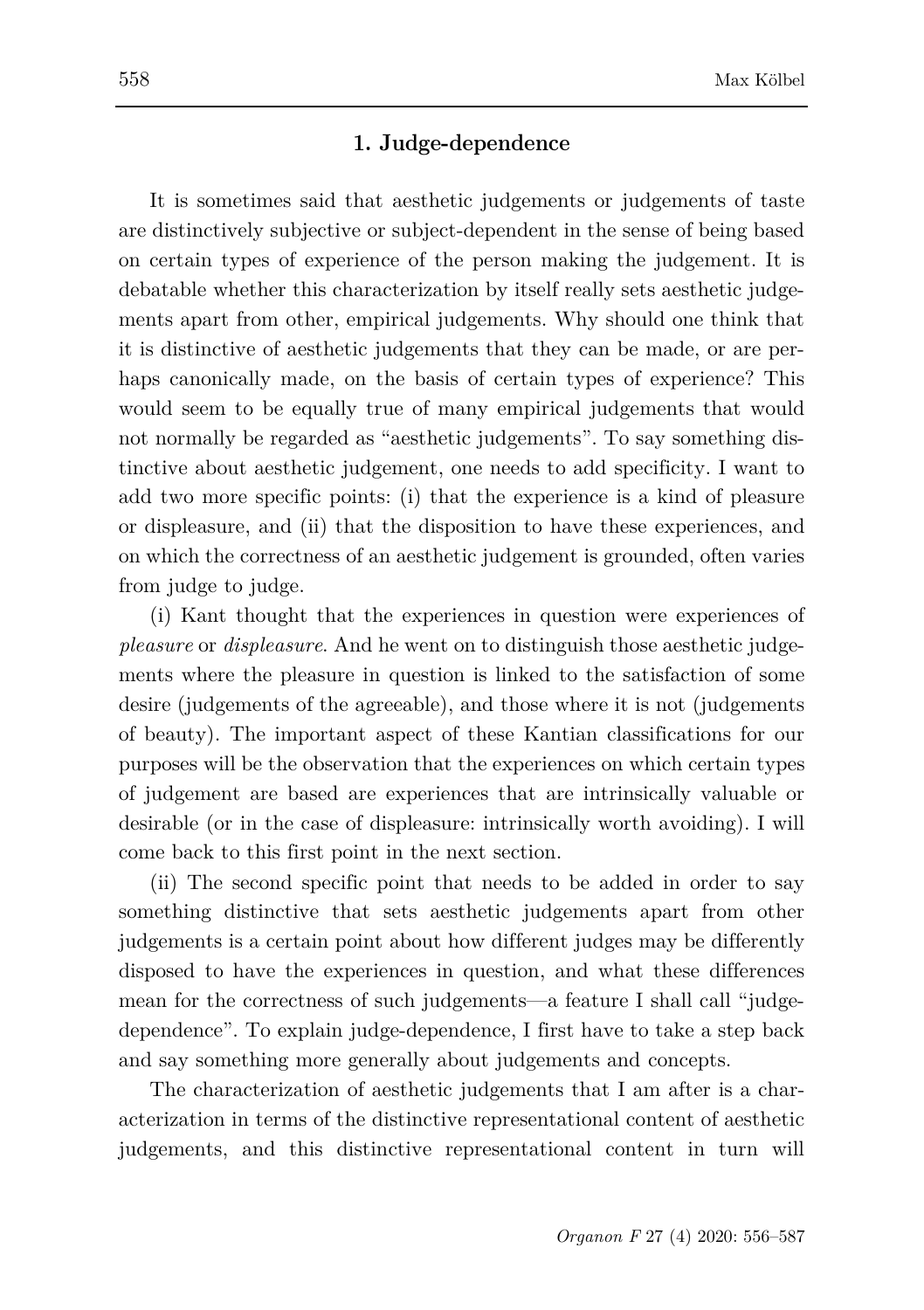## **1. Judge-dependence**

It is sometimes said that aesthetic judgements or judgements of taste are distinctively subjective or subject-dependent in the sense of being based on certain types of experience of the person making the judgement. It is debatable whether this characterization by itself really sets aesthetic judgements apart from other, empirical judgements. Why should one think that it is distinctive of aesthetic judgements that they can be made, or are perhaps canonically made, on the basis of certain types of experience? This would seem to be equally true of many empirical judgements that would not normally be regarded as "aesthetic judgements". To say something distinctive about aesthetic judgement, one needs to add specificity. I want to add two more specific points: (i) that the experience is a kind of pleasure or displeasure, and (ii) that the disposition to have these experiences, and on which the correctness of an aesthetic judgement is grounded, often varies from judge to judge.

(i) Kant thought that the experiences in question were experiences of *pleasure* or *displeasure*. And he went on to distinguish those aesthetic judgements where the pleasure in question is linked to the satisfaction of some desire (judgements of the agreeable), and those where it is not (judgements of beauty). The important aspect of these Kantian classifications for our purposes will be the observation that the experiences on which certain types of judgement are based are experiences that are intrinsically valuable or desirable (or in the case of displeasure: intrinsically worth avoiding). I will come back to this first point in the next section.

(ii) The second specific point that needs to be added in order to say something distinctive that sets aesthetic judgements apart from other judgements is a certain point about how different judges may be differently disposed to have the experiences in question, and what these differences mean for the correctness of such judgements—a feature I shall call "judgedependence". To explain judge-dependence, I first have to take a step back and say something more generally about judgements and concepts.

The characterization of aesthetic judgements that I am after is a characterization in terms of the distinctive representational content of aesthetic judgements, and this distinctive representational content in turn will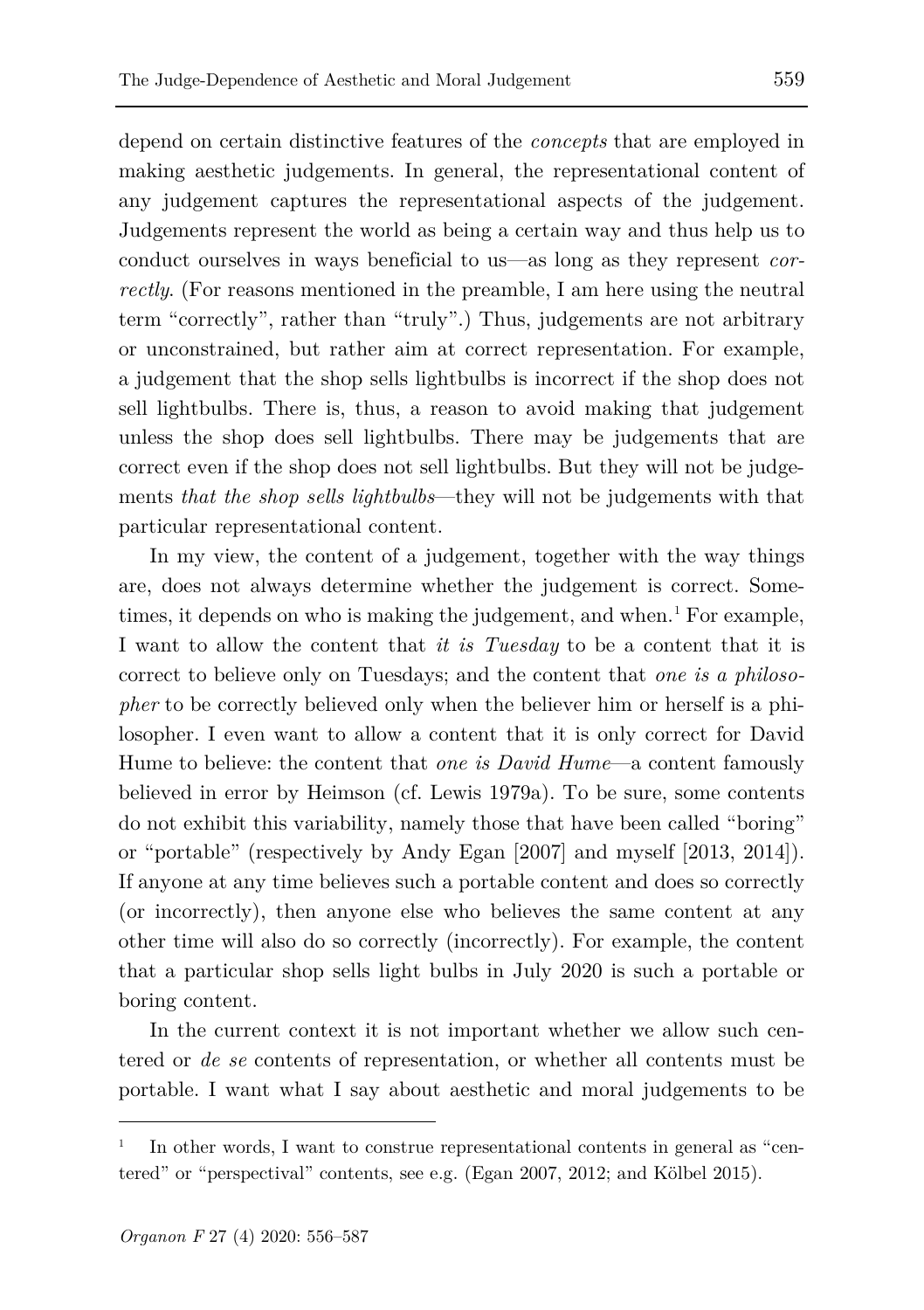depend on certain distinctive features of the *concepts* that are employed in making aesthetic judgements. In general, the representational content of any judgement captures the representational aspects of the judgement. Judgements represent the world as being a certain way and thus help us to conduct ourselves in ways beneficial to us—as long as they represent *correctly*. (For reasons mentioned in the preamble, I am here using the neutral term "correctly", rather than "truly".) Thus, judgements are not arbitrary or unconstrained, but rather aim at correct representation. For example, a judgement that the shop sells lightbulbs is incorrect if the shop does not sell lightbulbs. There is, thus, a reason to avoid making that judgement unless the shop does sell lightbulbs. There may be judgements that are correct even if the shop does not sell lightbulbs. But they will not be judgements *that the shop sells lightbulbs*—they will not be judgements with that particular representational content.

In my view, the content of a judgement, together with the way things are, does not always determine whether the judgement is correct. Sometimes, it depends on who is making the judgement, and when.<sup>1</sup> For example, I want to allow the content that *it is Tuesday* to be a content that it is correct to believe only on Tuesdays; and the content that *one is a philosopher* to be correctly believed only when the believer him or herself is a philosopher. I even want to allow a content that it is only correct for David Hume to believe: the content that *one is David Hume*—a content famously believed in error by Heimson (cf. Lewis 1979a). To be sure, some contents do not exhibit this variability, namely those that have been called "boring" or "portable" (respectively by Andy Egan [2007] and myself [2013, 2014]). If anyone at any time believes such a portable content and does so correctly (or incorrectly), then anyone else who believes the same content at any other time will also do so correctly (incorrectly). For example, the content that a particular shop sells light bulbs in July 2020 is such a portable or boring content.

In the current context it is not important whether we allow such centered or *de se* contents of representation, or whether all contents must be portable. I want what I say about aesthetic and moral judgements to be

<span id="page-3-0"></span>In other words, I want to construe representational contents in general as "centered" or "perspectival" contents, see e.g. (Egan 2007, 2012; and Kölbel 2015).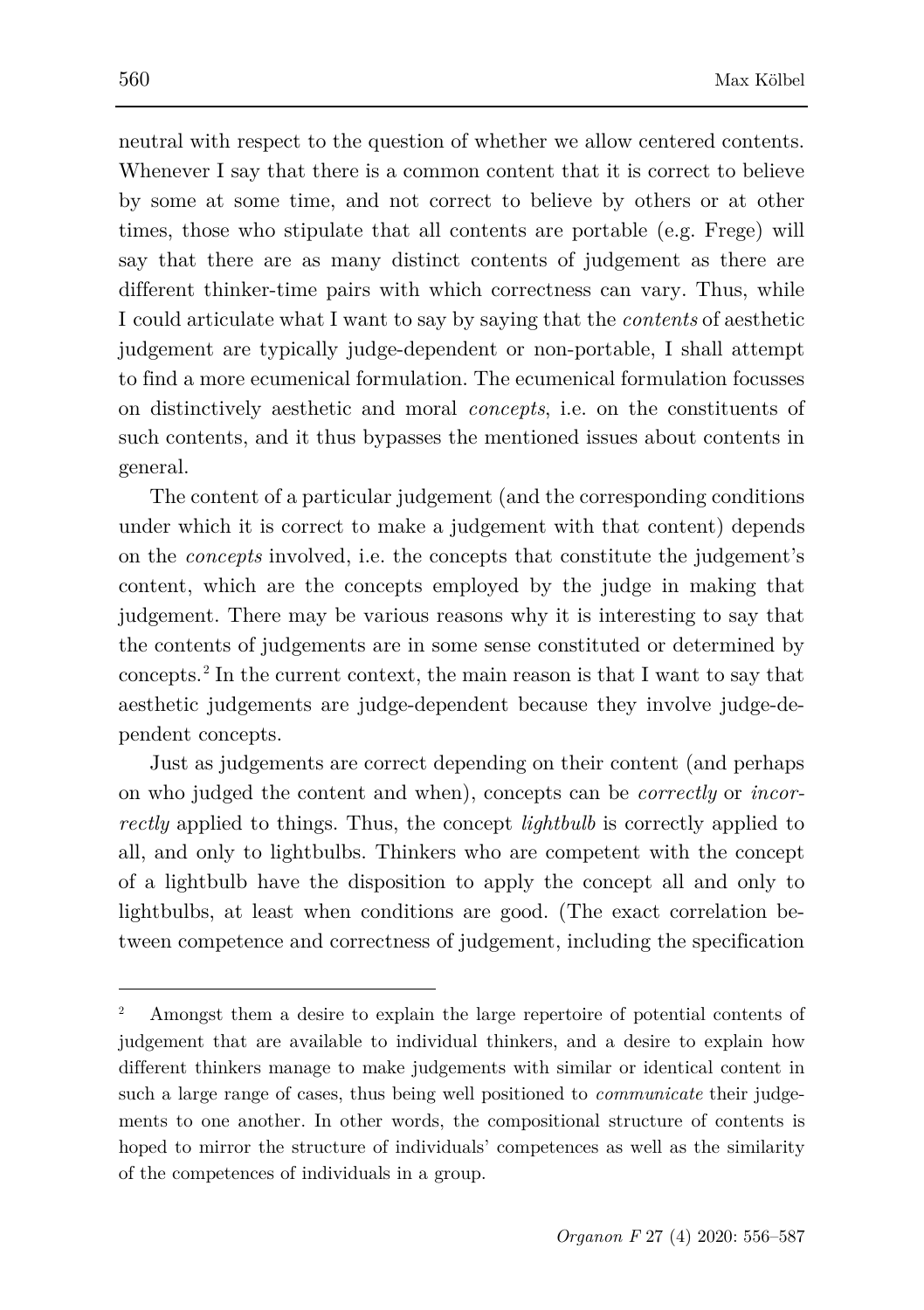neutral with respect to the question of whether we allow centered contents. Whenever I say that there is a common content that it is correct to believe by some at some time, and not correct to believe by others or at other times, those who stipulate that all contents are portable (e.g. Frege) will say that there are as many distinct contents of judgement as there are different thinker-time pairs with which correctness can vary. Thus, while I could articulate what I want to say by saying that the *contents* of aesthetic judgement are typically judge-dependent or non-portable, I shall attempt to find a more ecumenical formulation. The ecumenical formulation focusses on distinctively aesthetic and moral *concepts*, i.e. on the constituents of such contents, and it thus bypasses the mentioned issues about contents in general.

The content of a particular judgement (and the corresponding conditions under which it is correct to make a judgement with that content) depends on the *concepts* involved, i.e. the concepts that constitute the judgement's content, which are the concepts employed by the judge in making that judgement. There may be various reasons why it is interesting to say that the contents of judgements are in some sense constituted or determined by concepts. [2](#page-4-0) In the current context, the main reason is that I want to say that aesthetic judgements are judge-dependent because they involve judge-dependent concepts.

Just as judgements are correct depending on their content (and perhaps on who judged the content and when), concepts can be *correctly* or *incorrectly* applied to things. Thus, the concept *lightbulb* is correctly applied to all, and only to lightbulbs. Thinkers who are competent with the concept of a lightbulb have the disposition to apply the concept all and only to lightbulbs, at least when conditions are good. (The exact correlation between competence and correctness of judgement, including the specification

<span id="page-4-0"></span><sup>2</sup> Amongst them a desire to explain the large repertoire of potential contents of judgement that are available to individual thinkers, and a desire to explain how different thinkers manage to make judgements with similar or identical content in such a large range of cases, thus being well positioned to *communicate* their judgements to one another. In other words, the compositional structure of contents is hoped to mirror the structure of individuals' competences as well as the similarity of the competences of individuals in a group.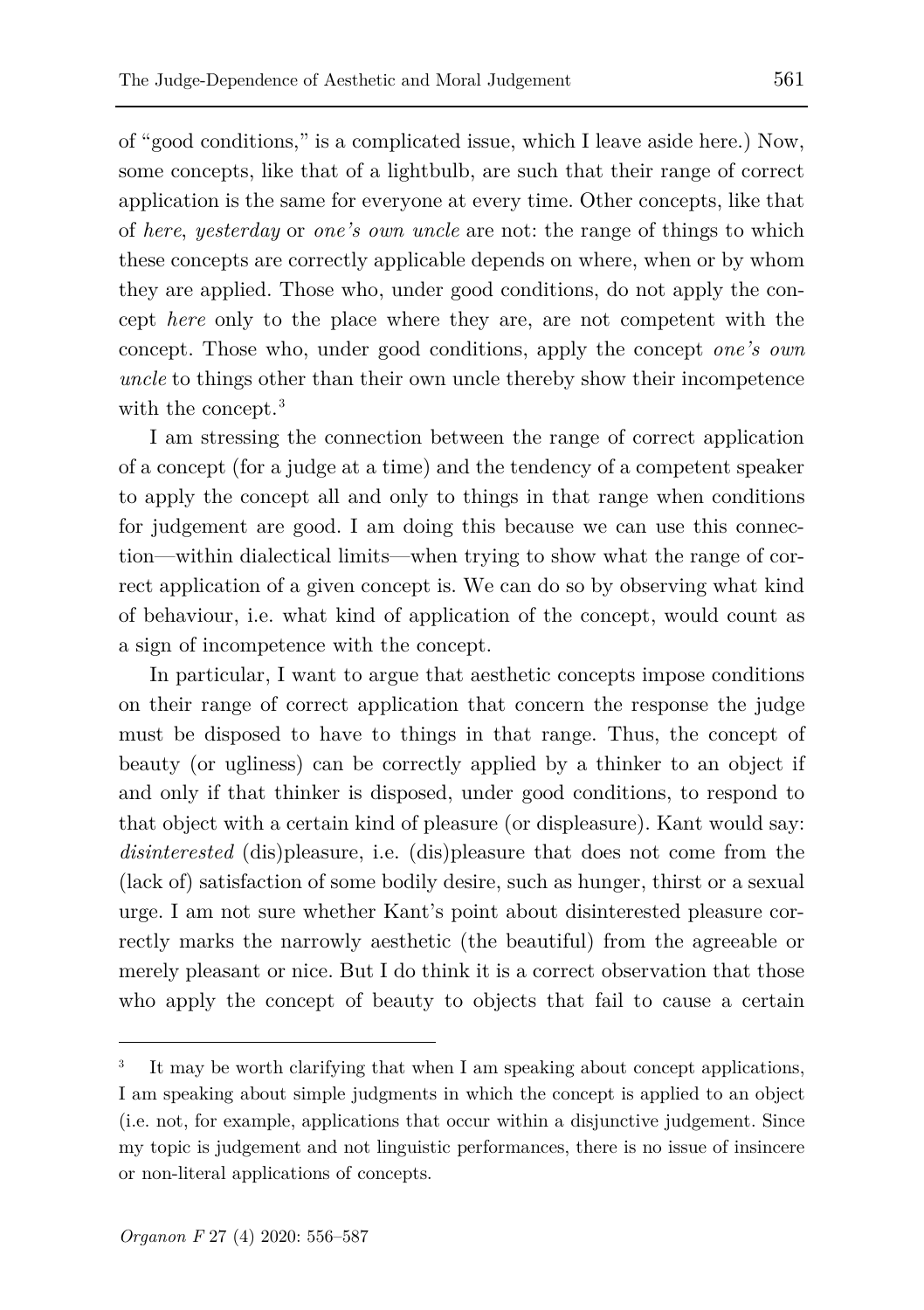of "good conditions," is a complicated issue, which I leave aside here.) Now, some concepts, like that of a lightbulb, are such that their range of correct application is the same for everyone at every time. Other concepts, like that of *here*, *yesterday* or *one's own uncle* are not: the range of things to which these concepts are correctly applicable depends on where, when or by whom they are applied. Those who, under good conditions, do not apply the concept *here* only to the place where they are, are not competent with the concept. Those who, under good conditions, apply the concept *one's own uncle* to things other than their own uncle thereby show their incompetence with the concept.<sup>[3](#page-5-0)</sup>

I am stressing the connection between the range of correct application of a concept (for a judge at a time) and the tendency of a competent speaker to apply the concept all and only to things in that range when conditions for judgement are good. I am doing this because we can use this connection—within dialectical limits—when trying to show what the range of correct application of a given concept is. We can do so by observing what kind of behaviour, i.e. what kind of application of the concept, would count as a sign of incompetence with the concept.

In particular, I want to argue that aesthetic concepts impose conditions on their range of correct application that concern the response the judge must be disposed to have to things in that range. Thus, the concept of beauty (or ugliness) can be correctly applied by a thinker to an object if and only if that thinker is disposed, under good conditions, to respond to that object with a certain kind of pleasure (or displeasure). Kant would say: *disinterested* (dis)pleasure, i.e. (dis)pleasure that does not come from the (lack of) satisfaction of some bodily desire, such as hunger, thirst or a sexual urge. I am not sure whether Kant's point about disinterested pleasure correctly marks the narrowly aesthetic (the beautiful) from the agreeable or merely pleasant or nice. But I do think it is a correct observation that those who apply the concept of beauty to objects that fail to cause a certain

<span id="page-5-0"></span>It may be worth clarifying that when I am speaking about concept applications, I am speaking about simple judgments in which the concept is applied to an object (i.e. not, for example, applications that occur within a disjunctive judgement. Since my topic is judgement and not linguistic performances, there is no issue of insincere or non-literal applications of concepts.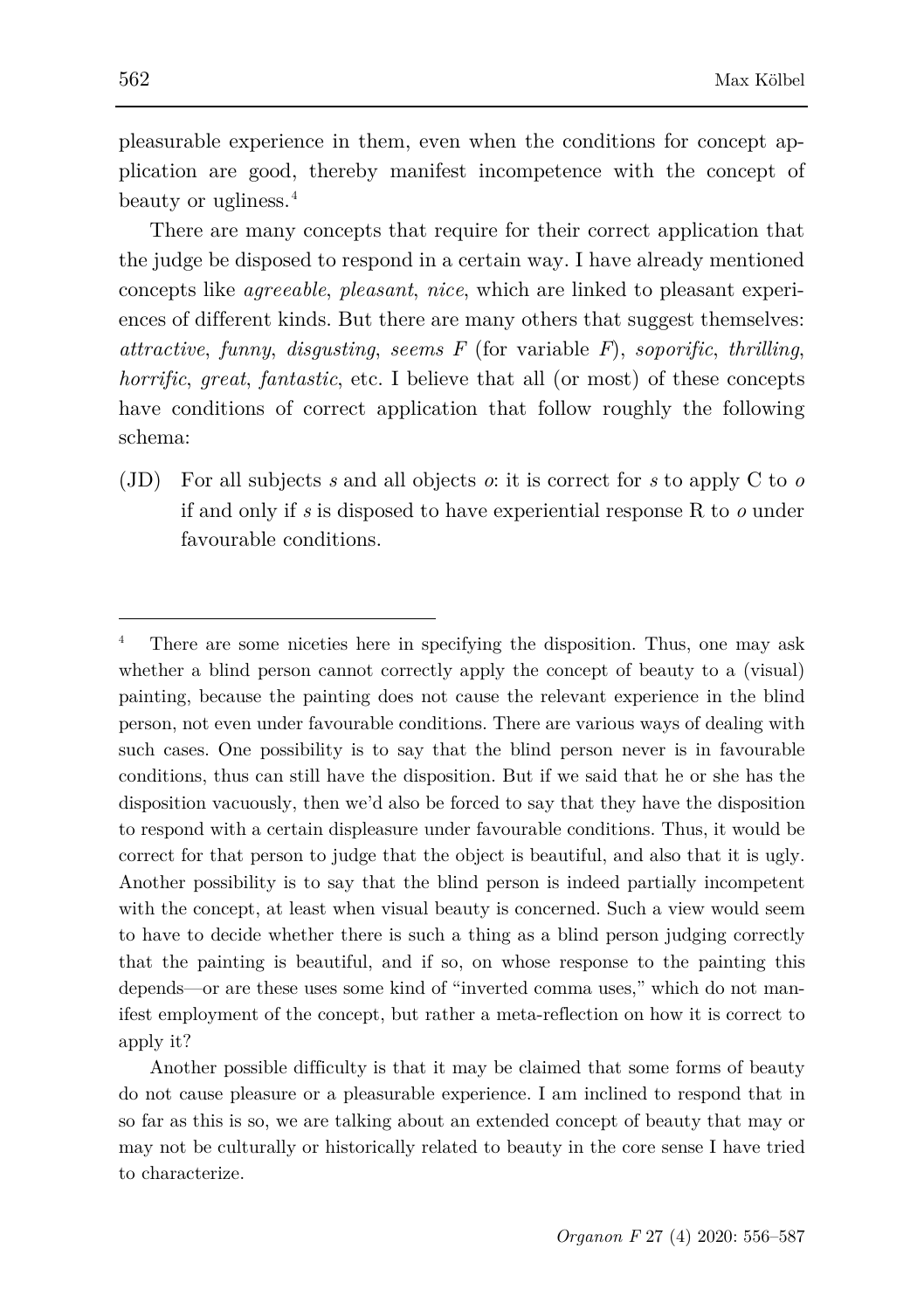pleasurable experience in them, even when the conditions for concept application are good, thereby manifest incompetence with the concept of beauty or ugliness.[4](#page-6-0)

There are many concepts that require for their correct application that the judge be disposed to respond in a certain way. I have already mentioned concepts like *agreeable*, *pleasant*, *nice*, which are linked to pleasant experiences of different kinds. But there are many others that suggest themselves: *attractive*, *funny*, *disgusting*, *seems F* (for variable *F*), *soporific*, *thrilling*, *horrific*, *great*, *fantastic*, etc. I believe that all (or most) of these concepts have conditions of correct application that follow roughly the following schema:

(JD) For all subjects *s* and all objects *o*: it is correct for *s* to apply C to *o* if and only if *s* is disposed to have experiential response R to *o* under favourable conditions.

<span id="page-6-0"></span>There are some niceties here in specifying the disposition. Thus, one may ask whether a blind person cannot correctly apply the concept of beauty to a (visual) painting, because the painting does not cause the relevant experience in the blind person, not even under favourable conditions. There are various ways of dealing with such cases. One possibility is to say that the blind person never is in favourable conditions, thus can still have the disposition. But if we said that he or she has the disposition vacuously, then we'd also be forced to say that they have the disposition to respond with a certain displeasure under favourable conditions. Thus, it would be correct for that person to judge that the object is beautiful, and also that it is ugly. Another possibility is to say that the blind person is indeed partially incompetent with the concept, at least when visual beauty is concerned. Such a view would seem to have to decide whether there is such a thing as a blind person judging correctly that the painting is beautiful, and if so, on whose response to the painting this depends—or are these uses some kind of "inverted comma uses," which do not manifest employment of the concept, but rather a meta-reflection on how it is correct to apply it?

Another possible difficulty is that it may be claimed that some forms of beauty do not cause pleasure or a pleasurable experience. I am inclined to respond that in so far as this is so, we are talking about an extended concept of beauty that may or may not be culturally or historically related to beauty in the core sense I have tried to characterize.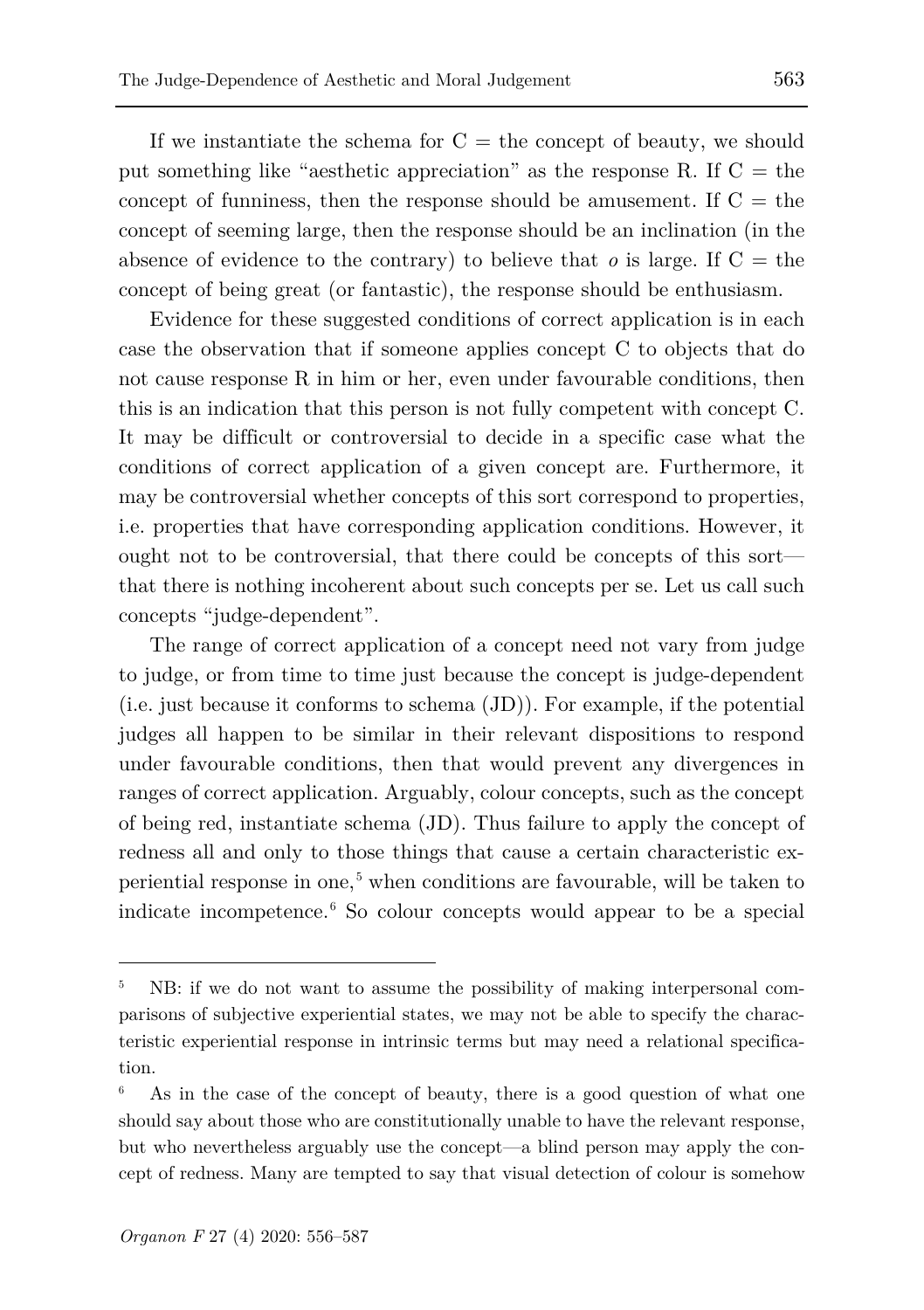If we instantiate the schema for  $C =$  the concept of beauty, we should put something like "aesthetic appreciation" as the response R. If  $C =$  the concept of funniness, then the response should be amusement. If  $C =$  the concept of seeming large, then the response should be an inclination (in the absence of evidence to the contrary) to believe that  $o$  is large. If  $C =$  the concept of being great (or fantastic), the response should be enthusiasm.

Evidence for these suggested conditions of correct application is in each case the observation that if someone applies concept C to objects that do not cause response R in him or her, even under favourable conditions, then this is an indication that this person is not fully competent with concept C. It may be difficult or controversial to decide in a specific case what the conditions of correct application of a given concept are. Furthermore, it may be controversial whether concepts of this sort correspond to properties, i.e. properties that have corresponding application conditions. However, it ought not to be controversial, that there could be concepts of this sort that there is nothing incoherent about such concepts per se. Let us call such concepts "judge-dependent".

The range of correct application of a concept need not vary from judge to judge, or from time to time just because the concept is judge-dependent (i.e. just because it conforms to schema (JD)). For example, if the potential judges all happen to be similar in their relevant dispositions to respond under favourable conditions, then that would prevent any divergences in ranges of correct application. Arguably, colour concepts, such as the concept of being red, instantiate schema (JD). Thus failure to apply the concept of redness all and only to those things that cause a certain characteristic experiential response in one, [5](#page-7-0) when conditions are favourable, will be taken to indicate incompetence.[6](#page-7-1) So colour concepts would appear to be a special

<span id="page-7-0"></span><sup>5</sup> NB: if we do not want to assume the possibility of making interpersonal comparisons of subjective experiential states, we may not be able to specify the characteristic experiential response in intrinsic terms but may need a relational specification.

<span id="page-7-1"></span> $6$  As in the case of the concept of beauty, there is a good question of what one should say about those who are constitutionally unable to have the relevant response, but who nevertheless arguably use the concept—a blind person may apply the concept of redness. Many are tempted to say that visual detection of colour is somehow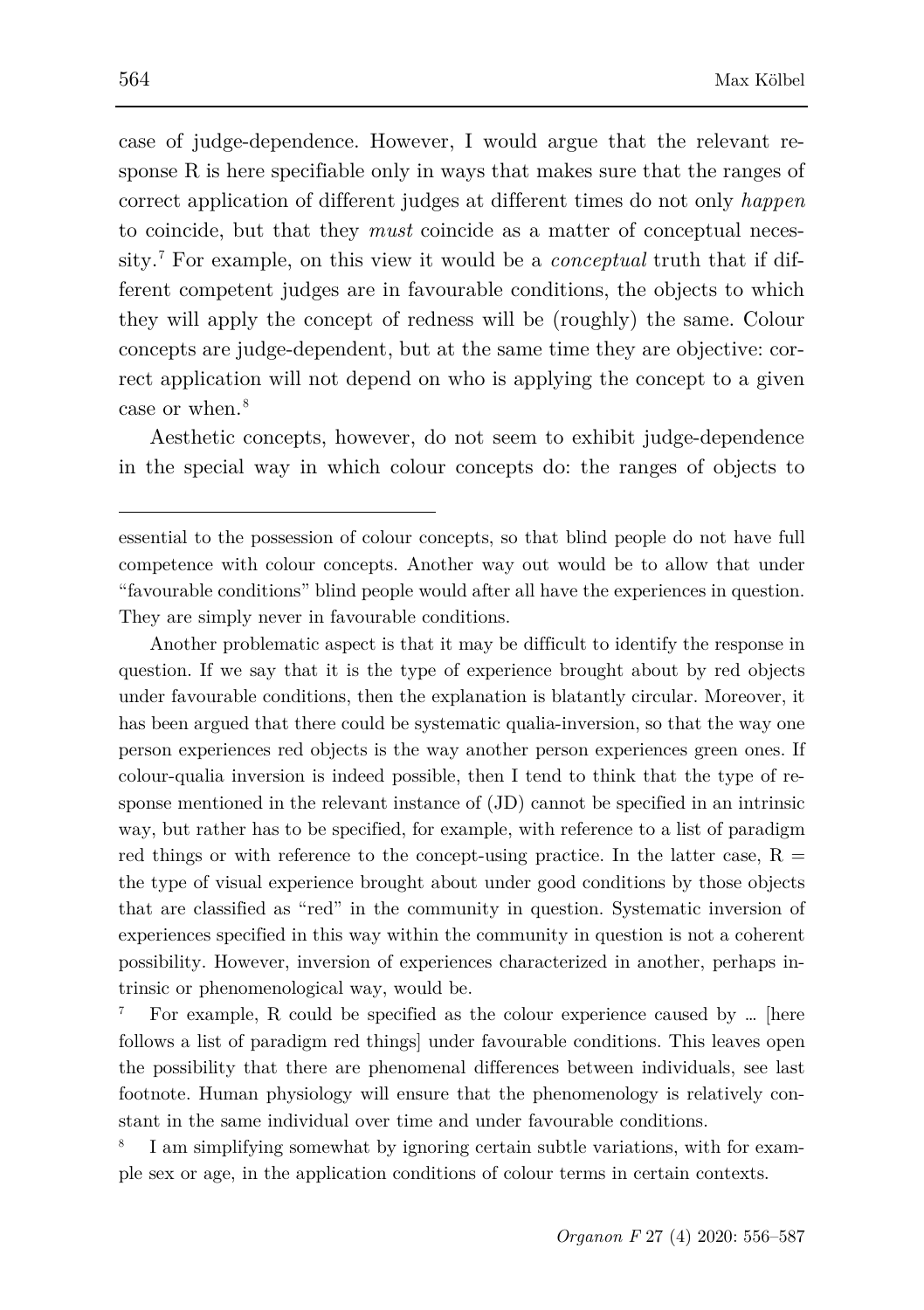case of judge-dependence. However, I would argue that the relevant response R is here specifiable only in ways that makes sure that the ranges of correct application of different judges at different times do not only *happen* to coincide, but that they *must* coincide as a matter of conceptual necessity.[7](#page-8-0) For example, on this view it would be a *conceptual* truth that if different competent judges are in favourable conditions, the objects to which they will apply the concept of redness will be (roughly) the same. Colour concepts are judge-dependent, but at the same time they are objective: correct application will not depend on who is applying the concept to a given case or when.<sup>[8](#page-8-1)</sup>

Aesthetic concepts, however, do not seem to exhibit judge-dependence in the special way in which colour concepts do: the ranges of objects to

Another problematic aspect is that it may be difficult to identify the response in question. If we say that it is the type of experience brought about by red objects under favourable conditions, then the explanation is blatantly circular. Moreover, it has been argued that there could be systematic qualia-inversion, so that the way one person experiences red objects is the way another person experiences green ones. If colour-qualia inversion is indeed possible, then I tend to think that the type of response mentioned in the relevant instance of (JD) cannot be specified in an intrinsic way, but rather has to be specified, for example, with reference to a list of paradigm red things or with reference to the concept-using practice. In the latter case,  $R =$ the type of visual experience brought about under good conditions by those objects that are classified as "red" in the community in question. Systematic inversion of experiences specified in this way within the community in question is not a coherent possibility. However, inversion of experiences characterized in another, perhaps intrinsic or phenomenological way, would be.

<span id="page-8-0"></span>For example, R could be specified as the colour experience caused by ... [here follows a list of paradigm red things] under favourable conditions. This leaves open the possibility that there are phenomenal differences between individuals, see last footnote. Human physiology will ensure that the phenomenology is relatively constant in the same individual over time and under favourable conditions.

<span id="page-8-1"></span>I am simplifying somewhat by ignoring certain subtle variations, with for example sex or age, in the application conditions of colour terms in certain contexts.

ł

essential to the possession of colour concepts, so that blind people do not have full competence with colour concepts. Another way out would be to allow that under "favourable conditions" blind people would after all have the experiences in question. They are simply never in favourable conditions.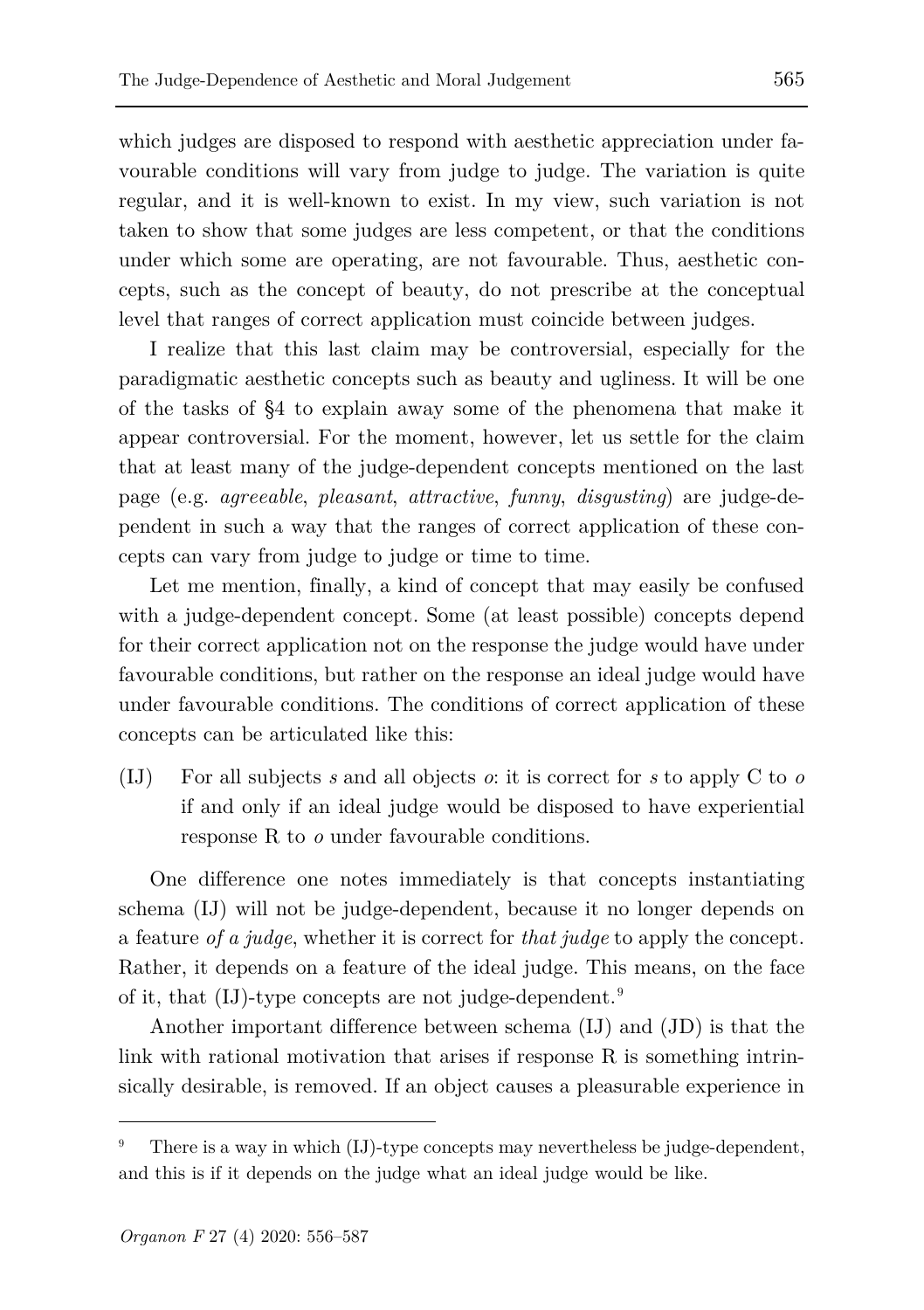which judges are disposed to respond with aesthetic appreciation under favourable conditions will vary from judge to judge. The variation is quite regular, and it is well-known to exist. In my view, such variation is not taken to show that some judges are less competent, or that the conditions under which some are operating, are not favourable. Thus, aesthetic concepts, such as the concept of beauty, do not prescribe at the conceptual level that ranges of correct application must coincide between judges.

I realize that this last claim may be controversial, especially for the paradigmatic aesthetic concepts such as beauty and ugliness. It will be one of the tasks of §4 to explain away some of the phenomena that make it appear controversial. For the moment, however, let us settle for the claim that at least many of the judge-dependent concepts mentioned on the last page (e.g. *agreeable*, *pleasant*, *attractive*, *funny*, *disgusting*) are judge-dependent in such a way that the ranges of correct application of these concepts can vary from judge to judge or time to time.

Let me mention, finally, a kind of concept that may easily be confused with a judge-dependent concept. Some (at least possible) concepts depend for their correct application not on the response the judge would have under favourable conditions, but rather on the response an ideal judge would have under favourable conditions. The conditions of correct application of these concepts can be articulated like this:

(IJ) For all subjects *s* and all objects *o*: it is correct for *s* to apply C to *o* if and only if an ideal judge would be disposed to have experiential response R to *o* under favourable conditions.

One difference one notes immediately is that concepts instantiating schema (IJ) will not be judge-dependent, because it no longer depends on a feature *of a judge*, whether it is correct for *that judge* to apply the concept. Rather, it depends on a feature of the ideal judge. This means, on the face of it, that (IJ)-type concepts are not judge-dependent.[9](#page-9-0)

Another important difference between schema (IJ) and (JD) is that the link with rational motivation that arises if response R is something intrinsically desirable, is removed. If an object causes a pleasurable experience in

<span id="page-9-0"></span>There is a way in which (IJ)-type concepts may nevertheless be judge-dependent, and this is if it depends on the judge what an ideal judge would be like.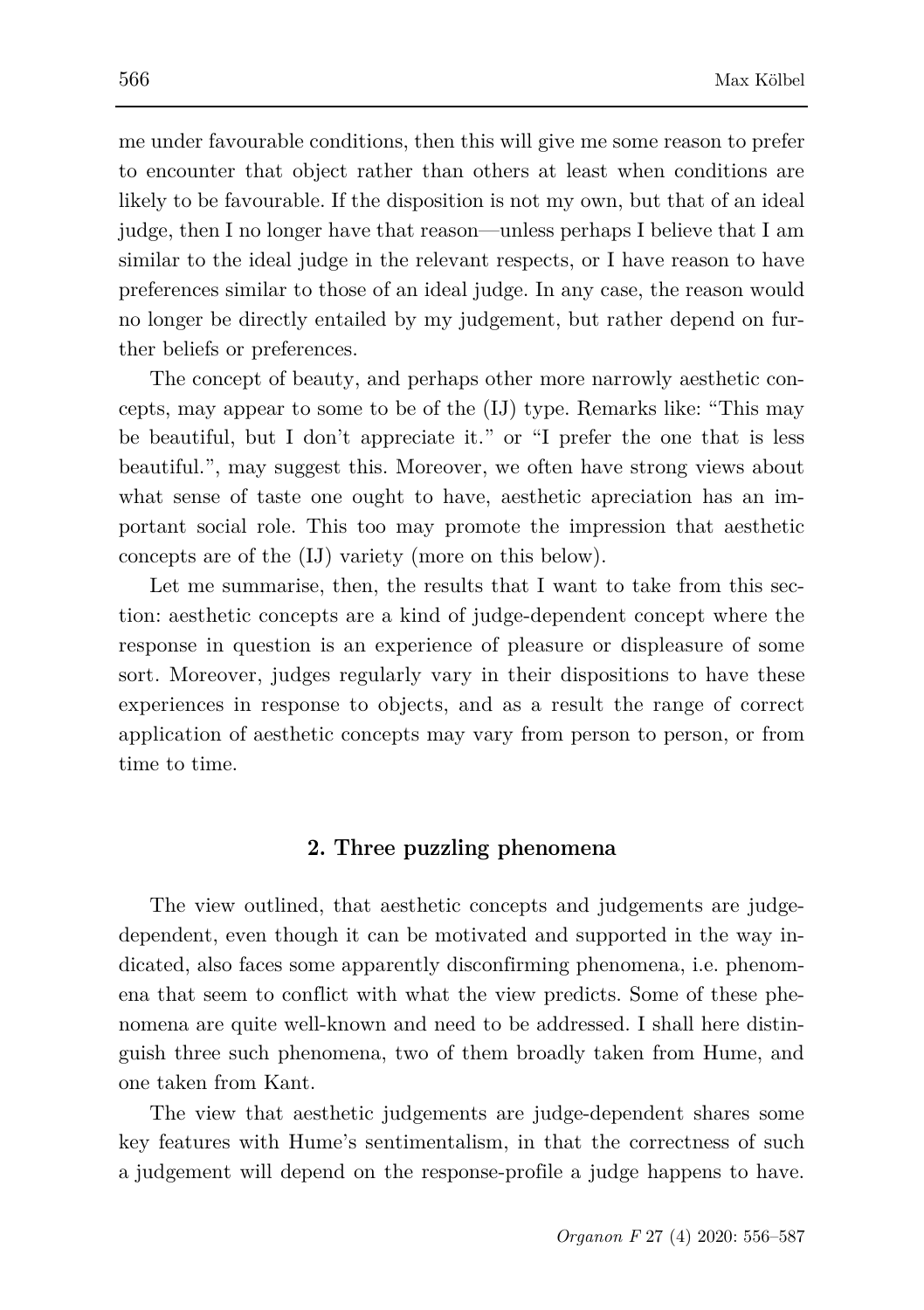me under favourable conditions, then this will give me some reason to prefer to encounter that object rather than others at least when conditions are likely to be favourable. If the disposition is not my own, but that of an ideal judge, then I no longer have that reason—unless perhaps I believe that I am similar to the ideal judge in the relevant respects, or I have reason to have preferences similar to those of an ideal judge. In any case, the reason would no longer be directly entailed by my judgement, but rather depend on further beliefs or preferences.

The concept of beauty, and perhaps other more narrowly aesthetic concepts, may appear to some to be of the (IJ) type. Remarks like: "This may be beautiful, but I don't appreciate it." or "I prefer the one that is less beautiful.", may suggest this. Moreover, we often have strong views about what sense of taste one ought to have, aesthetic apreciation has an important social role. This too may promote the impression that aesthetic concepts are of the (IJ) variety (more on this below).

Let me summarise, then, the results that I want to take from this section: aesthetic concepts are a kind of judge-dependent concept where the response in question is an experience of pleasure or displeasure of some sort. Moreover, judges regularly vary in their dispositions to have these experiences in response to objects, and as a result the range of correct application of aesthetic concepts may vary from person to person, or from time to time.

### **2. Three puzzling phenomena**

The view outlined, that aesthetic concepts and judgements are judgedependent, even though it can be motivated and supported in the way indicated, also faces some apparently disconfirming phenomena, i.e. phenomena that seem to conflict with what the view predicts. Some of these phenomena are quite well-known and need to be addressed. I shall here distinguish three such phenomena, two of them broadly taken from Hume, and one taken from Kant.

The view that aesthetic judgements are judge-dependent shares some key features with Hume's sentimentalism, in that the correctness of such a judgement will depend on the response-profile a judge happens to have.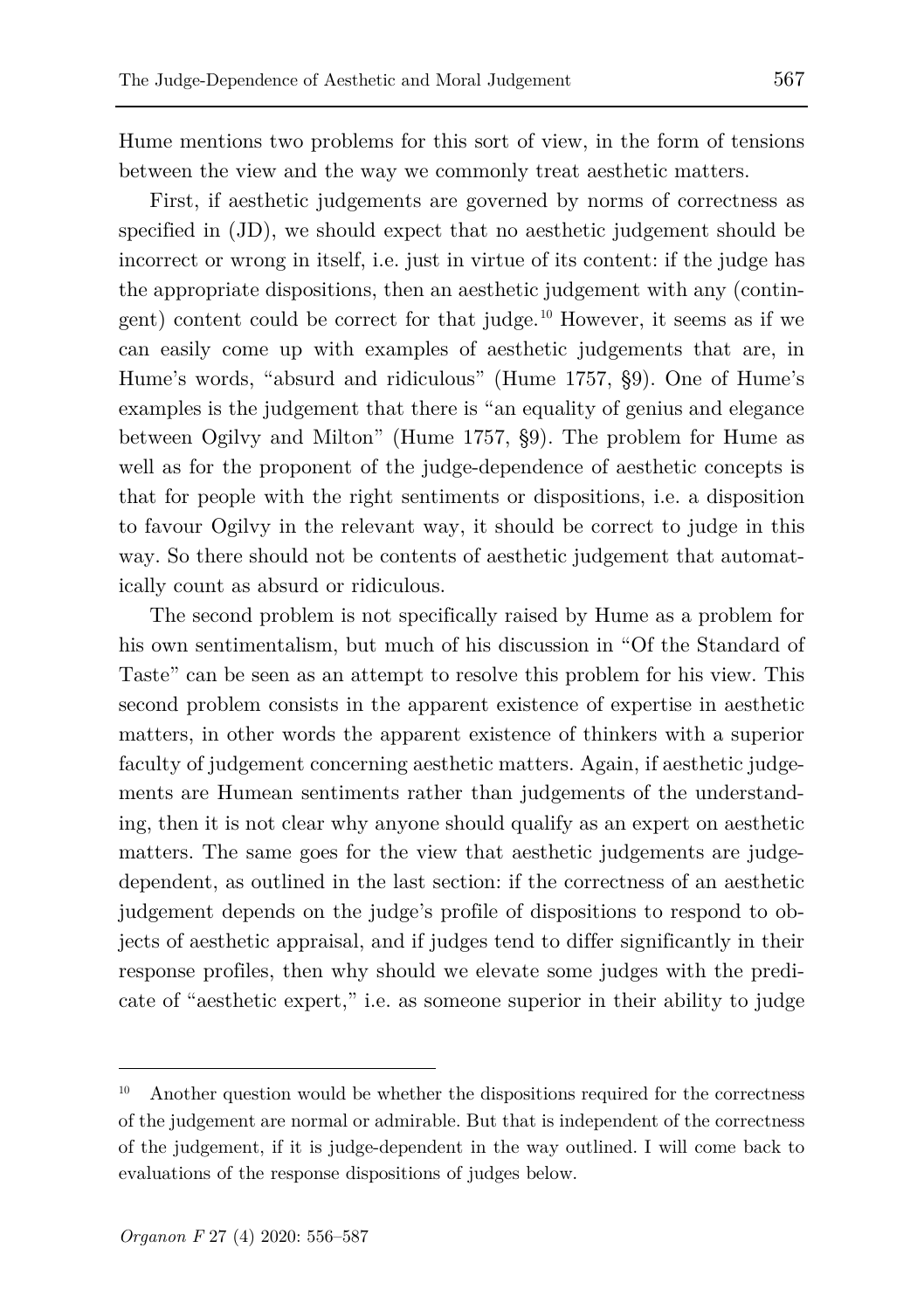Hume mentions two problems for this sort of view, in the form of tensions between the view and the way we commonly treat aesthetic matters.

First, if aesthetic judgements are governed by norms of correctness as specified in (JD), we should expect that no aesthetic judgement should be incorrect or wrong in itself, i.e. just in virtue of its content: if the judge has the appropriate dispositions, then an aesthetic judgement with any (contingent) content could be correct for that judge.[10](#page-11-0) However, it seems as if we can easily come up with examples of aesthetic judgements that are, in Hume's words, "absurd and ridiculous" (Hume 1757, §9). One of Hume's examples is the judgement that there is "an equality of genius and elegance between Ogilvy and Milton" (Hume 1757, §9). The problem for Hume as well as for the proponent of the judge-dependence of aesthetic concepts is that for people with the right sentiments or dispositions, i.e. a disposition to favour Ogilvy in the relevant way, it should be correct to judge in this way. So there should not be contents of aesthetic judgement that automatically count as absurd or ridiculous.

The second problem is not specifically raised by Hume as a problem for his own sentimentalism, but much of his discussion in "Of the Standard of Taste" can be seen as an attempt to resolve this problem for his view. This second problem consists in the apparent existence of expertise in aesthetic matters, in other words the apparent existence of thinkers with a superior faculty of judgement concerning aesthetic matters. Again, if aesthetic judgements are Humean sentiments rather than judgements of the understanding, then it is not clear why anyone should qualify as an expert on aesthetic matters. The same goes for the view that aesthetic judgements are judgedependent, as outlined in the last section: if the correctness of an aesthetic judgement depends on the judge's profile of dispositions to respond to objects of aesthetic appraisal, and if judges tend to differ significantly in their response profiles, then why should we elevate some judges with the predicate of "aesthetic expert," i.e. as someone superior in their ability to judge

<span id="page-11-0"></span> $10$  Another question would be whether the dispositions required for the correctness of the judgement are normal or admirable. But that is independent of the correctness of the judgement, if it is judge-dependent in the way outlined. I will come back to evaluations of the response dispositions of judges below.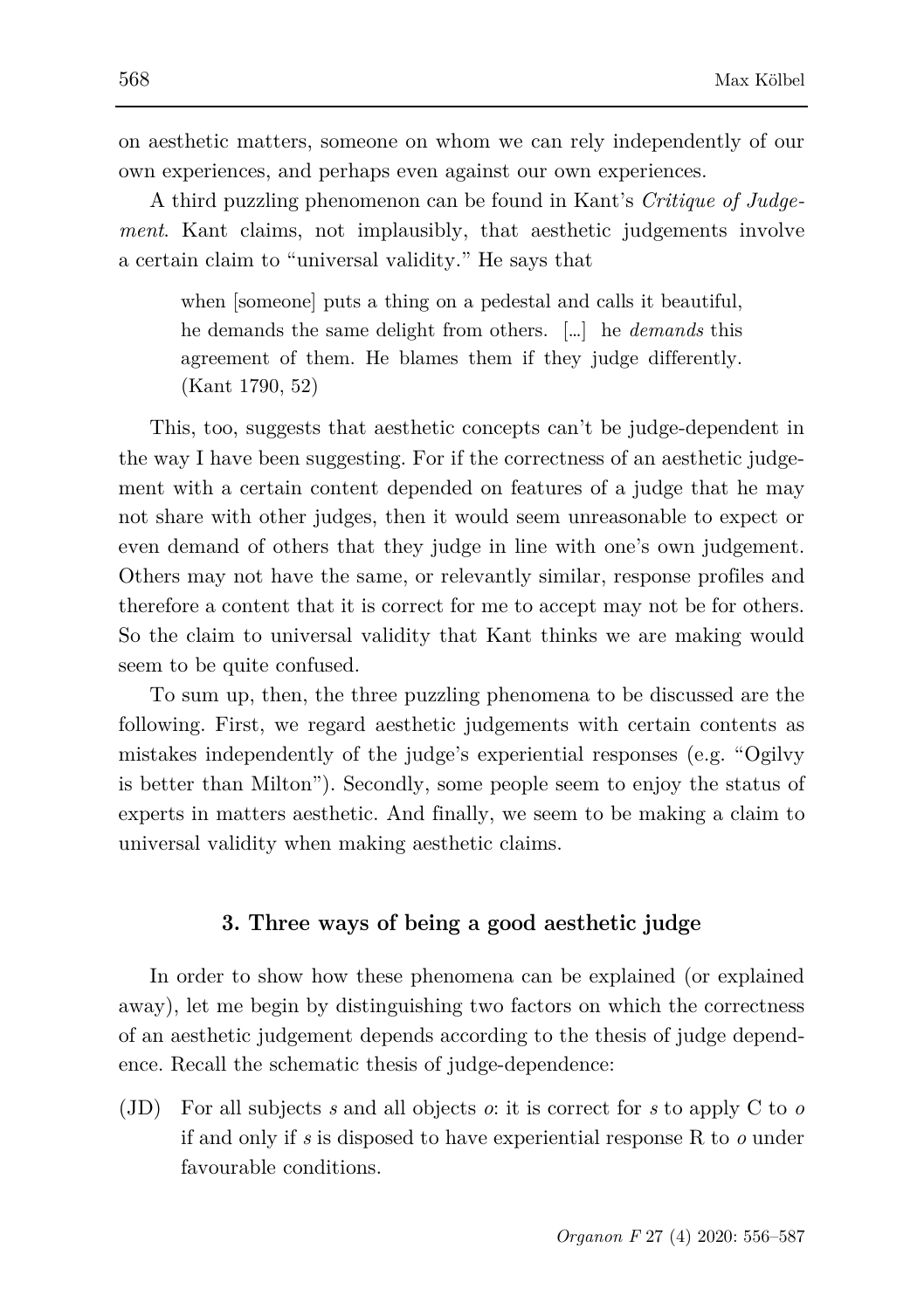on aesthetic matters, someone on whom we can rely independently of our own experiences, and perhaps even against our own experiences.

A third puzzling phenomenon can be found in Kant's *Critique of Judgement*. Kant claims, not implausibly, that aesthetic judgements involve a certain claim to "universal validity." He says that

when [someone] puts a thing on a pedestal and calls it beautiful, he demands the same delight from others. […] he *demands* this agreement of them. He blames them if they judge differently. (Kant 1790, 52)

This, too, suggests that aesthetic concepts can't be judge-dependent in the way I have been suggesting. For if the correctness of an aesthetic judgement with a certain content depended on features of a judge that he may not share with other judges, then it would seem unreasonable to expect or even demand of others that they judge in line with one's own judgement. Others may not have the same, or relevantly similar, response profiles and therefore a content that it is correct for me to accept may not be for others. So the claim to universal validity that Kant thinks we are making would seem to be quite confused.

To sum up, then, the three puzzling phenomena to be discussed are the following. First, we regard aesthetic judgements with certain contents as mistakes independently of the judge's experiential responses (e.g. "Ogilvy is better than Milton"). Secondly, some people seem to enjoy the status of experts in matters aesthetic. And finally, we seem to be making a claim to universal validity when making aesthetic claims.

#### **3. Three ways of being a good aesthetic judge**

In order to show how these phenomena can be explained (or explained away), let me begin by distinguishing two factors on which the correctness of an aesthetic judgement depends according to the thesis of judge dependence. Recall the schematic thesis of judge-dependence:

(JD) For all subjects *s* and all objects *o*: it is correct for *s* to apply C to *o* if and only if *s* is disposed to have experiential response R to *o* under favourable conditions.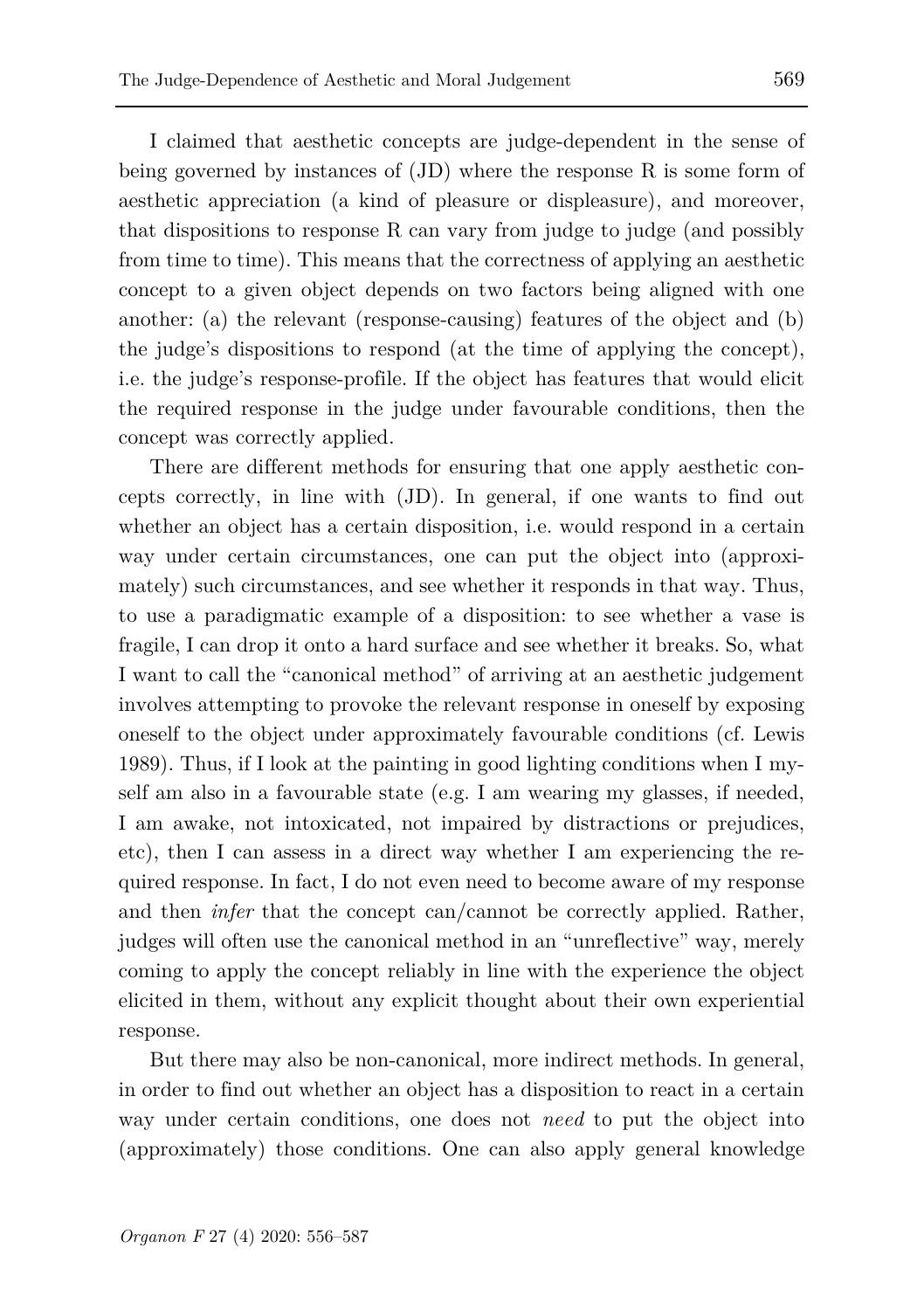I claimed that aesthetic concepts are judge-dependent in the sense of being governed by instances of  $J(D)$  where the response R is some form of aesthetic appreciation (a kind of pleasure or displeasure), and moreover, that dispositions to response R can vary from judge to judge (and possibly from time to time). This means that the correctness of applying an aesthetic concept to a given object depends on two factors being aligned with one another: (a) the relevant (response-causing) features of the object and (b) the judge's dispositions to respond (at the time of applying the concept), i.e. the judge's response-profile. If the object has features that would elicit the required response in the judge under favourable conditions, then the concept was correctly applied.

There are different methods for ensuring that one apply aesthetic concepts correctly, in line with (JD). In general, if one wants to find out whether an object has a certain disposition, i.e. would respond in a certain way under certain circumstances, one can put the object into (approximately) such circumstances, and see whether it responds in that way. Thus, to use a paradigmatic example of a disposition: to see whether a vase is fragile, I can drop it onto a hard surface and see whether it breaks. So, what I want to call the "canonical method" of arriving at an aesthetic judgement involves attempting to provoke the relevant response in oneself by exposing oneself to the object under approximately favourable conditions (cf. Lewis 1989). Thus, if I look at the painting in good lighting conditions when I myself am also in a favourable state (e.g. I am wearing my glasses, if needed, I am awake, not intoxicated, not impaired by distractions or prejudices, etc), then I can assess in a direct way whether I am experiencing the required response. In fact, I do not even need to become aware of my response and then *infer* that the concept can/cannot be correctly applied. Rather, judges will often use the canonical method in an "unreflective" way, merely coming to apply the concept reliably in line with the experience the object elicited in them, without any explicit thought about their own experiential response.

But there may also be non-canonical, more indirect methods. In general, in order to find out whether an object has a disposition to react in a certain way under certain conditions, one does not *need* to put the object into (approximately) those conditions. One can also apply general knowledge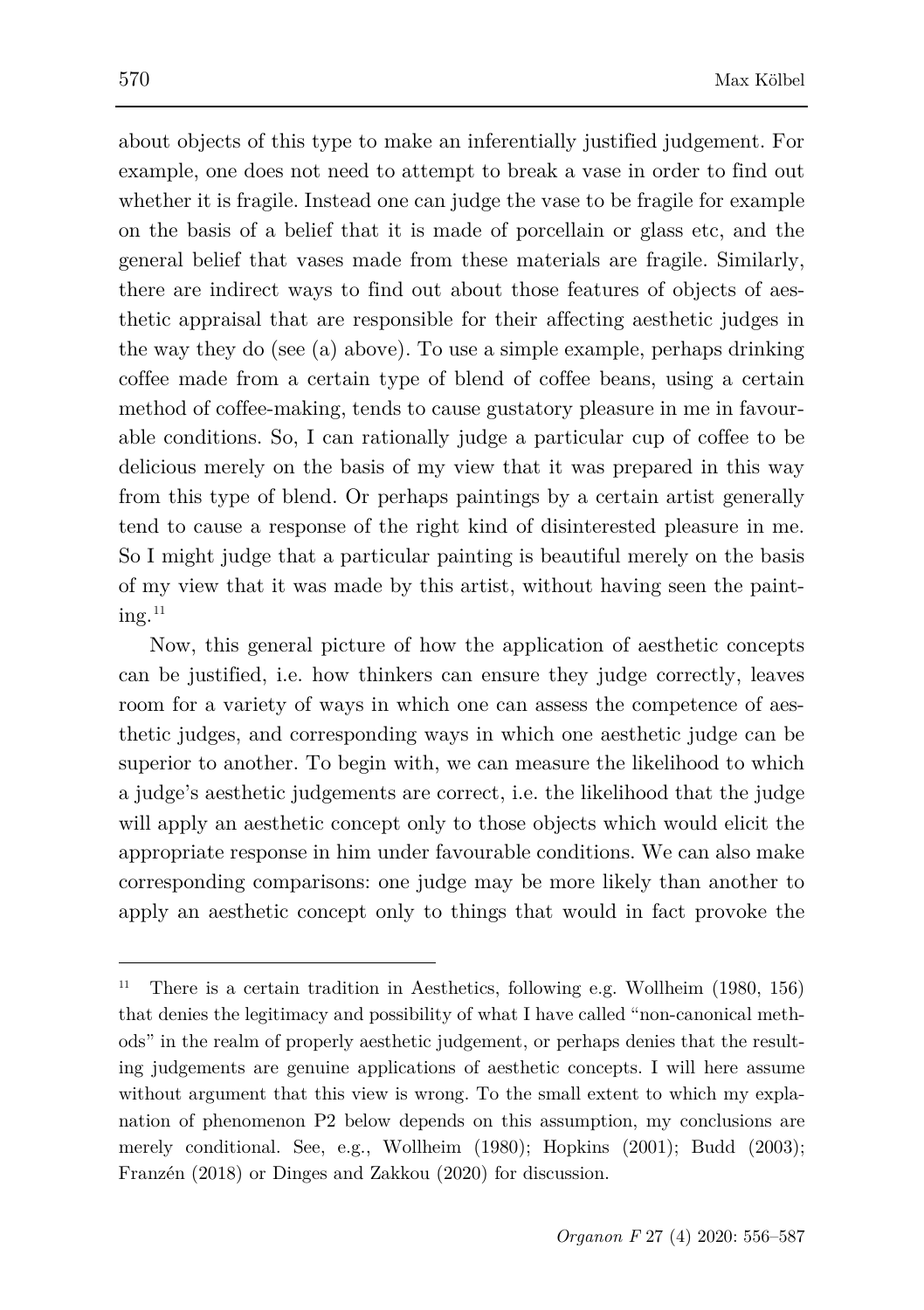about objects of this type to make an inferentially justified judgement. For example, one does not need to attempt to break a vase in order to find out whether it is fragile. Instead one can judge the vase to be fragile for example on the basis of a belief that it is made of porcellain or glass etc, and the general belief that vases made from these materials are fragile. Similarly, there are indirect ways to find out about those features of objects of aesthetic appraisal that are responsible for their affecting aesthetic judges in the way they do (see (a) above). To use a simple example, perhaps drinking coffee made from a certain type of blend of coffee beans, using a certain method of coffee-making, tends to cause gustatory pleasure in me in favourable conditions. So, I can rationally judge a particular cup of coffee to be delicious merely on the basis of my view that it was prepared in this way from this type of blend. Or perhaps paintings by a certain artist generally tend to cause a response of the right kind of disinterested pleasure in me. So I might judge that a particular painting is beautiful merely on the basis of my view that it was made by this artist, without having seen the paint $ine.$ <sup>[11](#page-14-0)</sup>

Now, this general picture of how the application of aesthetic concepts can be justified, i.e. how thinkers can ensure they judge correctly, leaves room for a variety of ways in which one can assess the competence of aesthetic judges, and corresponding ways in which one aesthetic judge can be superior to another. To begin with, we can measure the likelihood to which a judge's aesthetic judgements are correct, i.e. the likelihood that the judge will apply an aesthetic concept only to those objects which would elicit the appropriate response in him under favourable conditions. We can also make corresponding comparisons: one judge may be more likely than another to apply an aesthetic concept only to things that would in fact provoke the

<span id="page-14-0"></span><sup>&</sup>lt;sup>11</sup> There is a certain tradition in Aesthetics, following e.g. Wollheim  $(1980, 156)$ that denies the legitimacy and possibility of what I have called "non-canonical methods" in the realm of properly aesthetic judgement, or perhaps denies that the resulting judgements are genuine applications of aesthetic concepts. I will here assume without argument that this view is wrong. To the small extent to which my explanation of phenomenon P2 below depends on this assumption, my conclusions are merely conditional. See, e.g., Wollheim (1980); Hopkins (2001); Budd (2003); Franzén (2018) or Dinges and Zakkou (2020) for discussion.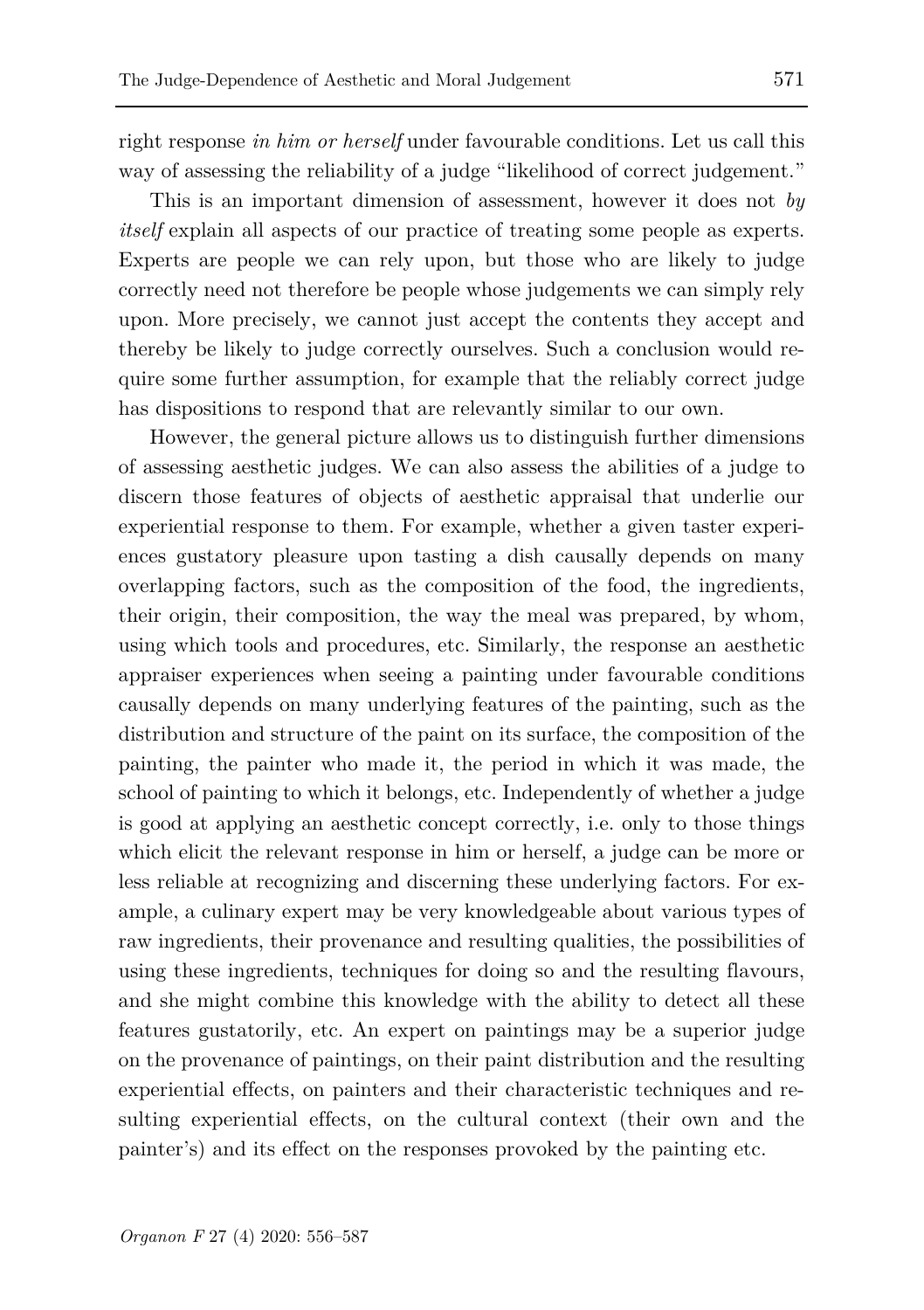right response *in him or herself* under favourable conditions. Let us call this way of assessing the reliability of a judge "likelihood of correct judgement."

This is an important dimension of assessment, however it does not *by itself* explain all aspects of our practice of treating some people as experts. Experts are people we can rely upon, but those who are likely to judge correctly need not therefore be people whose judgements we can simply rely upon. More precisely, we cannot just accept the contents they accept and thereby be likely to judge correctly ourselves. Such a conclusion would require some further assumption, for example that the reliably correct judge has dispositions to respond that are relevantly similar to our own.

However, the general picture allows us to distinguish further dimensions of assessing aesthetic judges. We can also assess the abilities of a judge to discern those features of objects of aesthetic appraisal that underlie our experiential response to them. For example, whether a given taster experiences gustatory pleasure upon tasting a dish causally depends on many overlapping factors, such as the composition of the food, the ingredients, their origin, their composition, the way the meal was prepared, by whom, using which tools and procedures, etc. Similarly, the response an aesthetic appraiser experiences when seeing a painting under favourable conditions causally depends on many underlying features of the painting, such as the distribution and structure of the paint on its surface, the composition of the painting, the painter who made it, the period in which it was made, the school of painting to which it belongs, etc. Independently of whether a judge is good at applying an aesthetic concept correctly, i.e. only to those things which elicit the relevant response in him or herself, a judge can be more or less reliable at recognizing and discerning these underlying factors. For example, a culinary expert may be very knowledgeable about various types of raw ingredients, their provenance and resulting qualities, the possibilities of using these ingredients, techniques for doing so and the resulting flavours, and she might combine this knowledge with the ability to detect all these features gustatorily, etc. An expert on paintings may be a superior judge on the provenance of paintings, on their paint distribution and the resulting experiential effects, on painters and their characteristic techniques and resulting experiential effects, on the cultural context (their own and the painter's) and its effect on the responses provoked by the painting etc.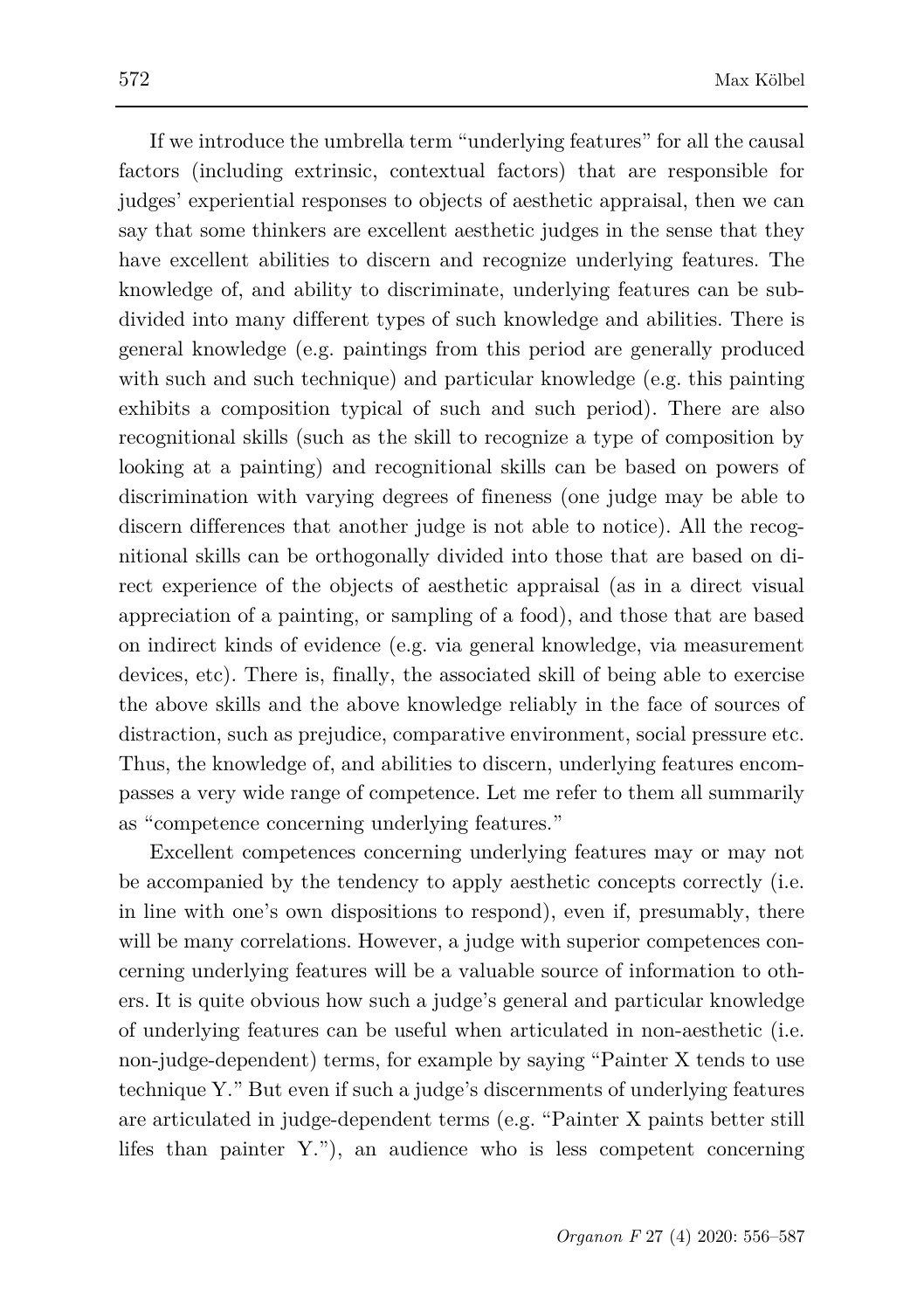If we introduce the umbrella term "underlying features" for all the causal factors (including extrinsic, contextual factors) that are responsible for judges' experiential responses to objects of aesthetic appraisal, then we can say that some thinkers are excellent aesthetic judges in the sense that they have excellent abilities to discern and recognize underlying features. The knowledge of, and ability to discriminate, underlying features can be subdivided into many different types of such knowledge and abilities. There is general knowledge (e.g. paintings from this period are generally produced with such and such technique) and particular knowledge (e.g. this painting exhibits a composition typical of such and such period). There are also recognitional skills (such as the skill to recognize a type of composition by looking at a painting) and recognitional skills can be based on powers of discrimination with varying degrees of fineness (one judge may be able to discern differences that another judge is not able to notice). All the recognitional skills can be orthogonally divided into those that are based on direct experience of the objects of aesthetic appraisal (as in a direct visual appreciation of a painting, or sampling of a food), and those that are based on indirect kinds of evidence (e.g. via general knowledge, via measurement devices, etc). There is, finally, the associated skill of being able to exercise the above skills and the above knowledge reliably in the face of sources of distraction, such as prejudice, comparative environment, social pressure etc. Thus, the knowledge of, and abilities to discern, underlying features encompasses a very wide range of competence. Let me refer to them all summarily as "competence concerning underlying features."

Excellent competences concerning underlying features may or may not be accompanied by the tendency to apply aesthetic concepts correctly (i.e. in line with one's own dispositions to respond), even if, presumably, there will be many correlations. However, a judge with superior competences concerning underlying features will be a valuable source of information to others. It is quite obvious how such a judge's general and particular knowledge of underlying features can be useful when articulated in non-aesthetic (i.e. non-judge-dependent) terms, for example by saying "Painter X tends to use technique Y." But even if such a judge's discernments of underlying features are articulated in judge-dependent terms (e.g. "Painter X paints better still lifes than painter Y."), an audience who is less competent concerning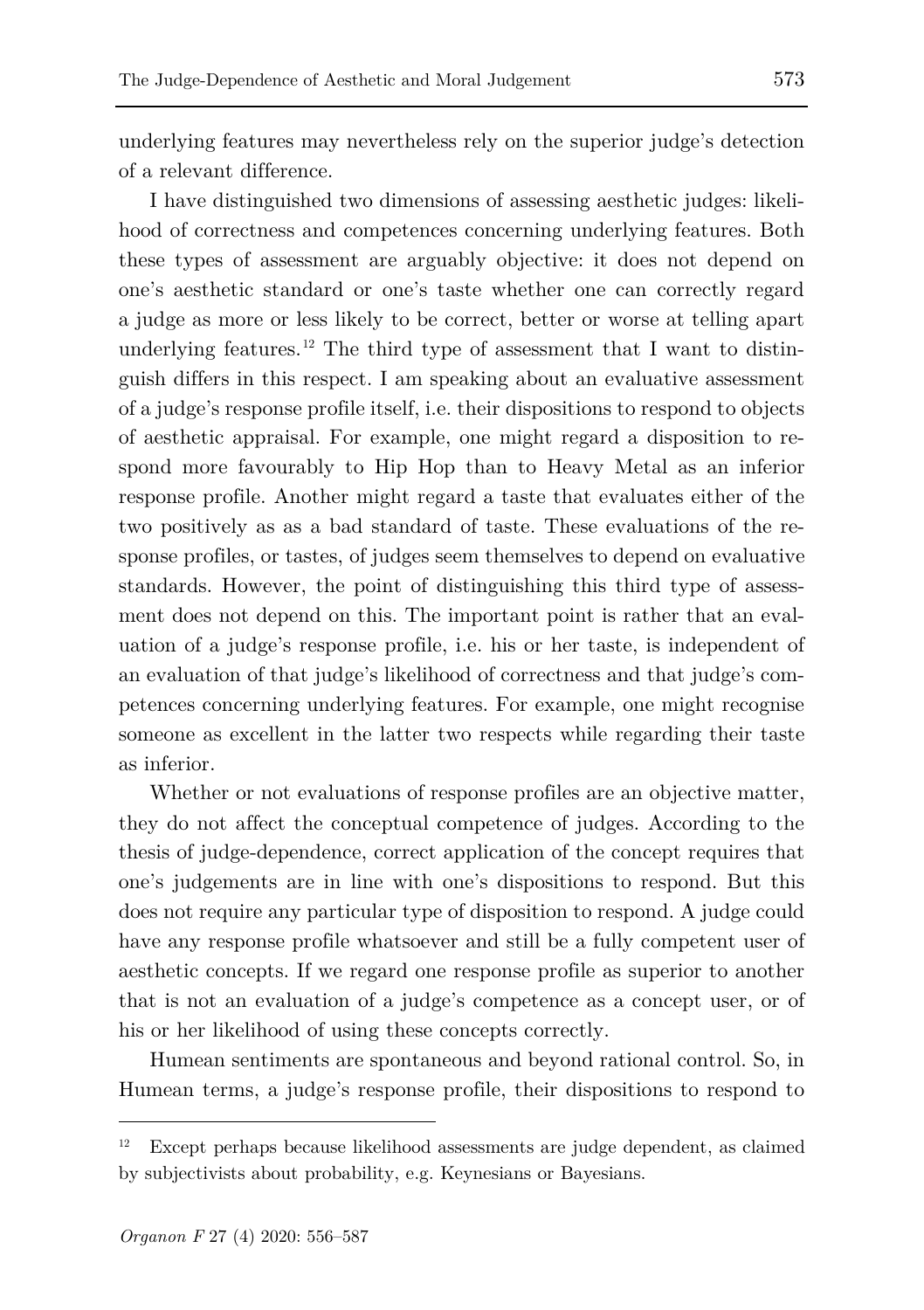underlying features may nevertheless rely on the superior judge's detection of a relevant difference.

I have distinguished two dimensions of assessing aesthetic judges: likelihood of correctness and competences concerning underlying features. Both these types of assessment are arguably objective: it does not depend on one's aesthetic standard or one's taste whether one can correctly regard a judge as more or less likely to be correct, better or worse at telling apart underlying features.<sup>[12](#page-17-0)</sup> The third type of assessment that I want to distinguish differs in this respect. I am speaking about an evaluative assessment of a judge's response profile itself, i.e. their dispositions to respond to objects of aesthetic appraisal. For example, one might regard a disposition to respond more favourably to Hip Hop than to Heavy Metal as an inferior response profile. Another might regard a taste that evaluates either of the two positively as as a bad standard of taste. These evaluations of the response profiles, or tastes, of judges seem themselves to depend on evaluative standards. However, the point of distinguishing this third type of assessment does not depend on this. The important point is rather that an evaluation of a judge's response profile, i.e. his or her taste, is independent of an evaluation of that judge's likelihood of correctness and that judge's competences concerning underlying features. For example, one might recognise someone as excellent in the latter two respects while regarding their taste as inferior.

Whether or not evaluations of response profiles are an objective matter, they do not affect the conceptual competence of judges. According to the thesis of judge-dependence, correct application of the concept requires that one's judgements are in line with one's dispositions to respond. But this does not require any particular type of disposition to respond. A judge could have any response profile whatsoever and still be a fully competent user of aesthetic concepts. If we regard one response profile as superior to another that is not an evaluation of a judge's competence as a concept user, or of his or her likelihood of using these concepts correctly.

Humean sentiments are spontaneous and beyond rational control. So, in Humean terms, a judge's response profile, their dispositions to respond to

<span id="page-17-0"></span><sup>12</sup> Except perhaps because likelihood assessments are judge dependent, as claimed by subjectivists about probability, e.g. Keynesians or Bayesians.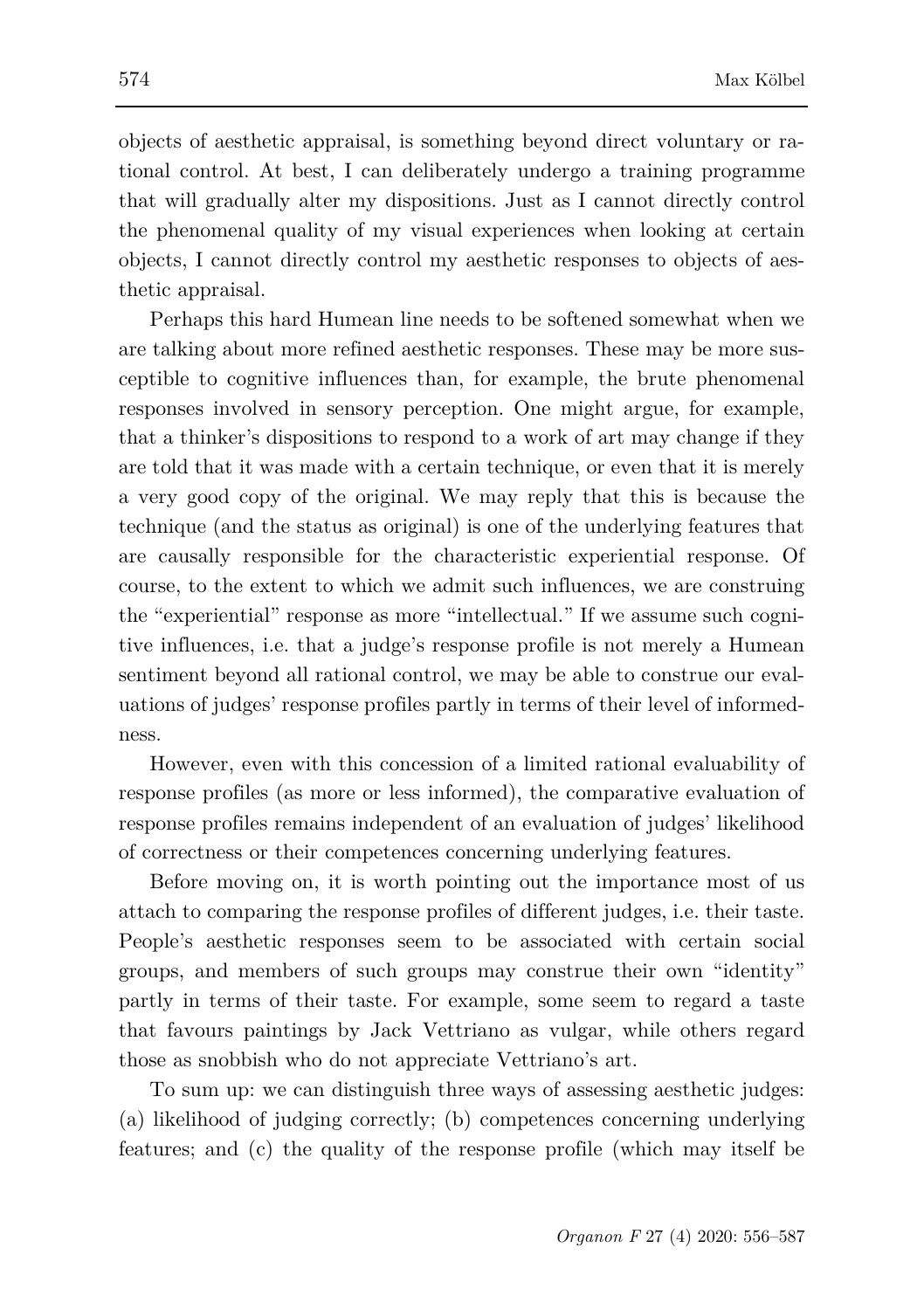objects of aesthetic appraisal, is something beyond direct voluntary or rational control. At best, I can deliberately undergo a training programme that will gradually alter my dispositions. Just as I cannot directly control the phenomenal quality of my visual experiences when looking at certain objects, I cannot directly control my aesthetic responses to objects of aesthetic appraisal.

Perhaps this hard Humean line needs to be softened somewhat when we are talking about more refined aesthetic responses. These may be more susceptible to cognitive influences than, for example, the brute phenomenal responses involved in sensory perception. One might argue, for example, that a thinker's dispositions to respond to a work of art may change if they are told that it was made with a certain technique, or even that it is merely a very good copy of the original. We may reply that this is because the technique (and the status as original) is one of the underlying features that are causally responsible for the characteristic experiential response. Of course, to the extent to which we admit such influences, we are construing the "experiential" response as more "intellectual." If we assume such cognitive influences, i.e. that a judge's response profile is not merely a Humean sentiment beyond all rational control, we may be able to construe our evaluations of judges' response profiles partly in terms of their level of informedness.

However, even with this concession of a limited rational evaluability of response profiles (as more or less informed), the comparative evaluation of response profiles remains independent of an evaluation of judges' likelihood of correctness or their competences concerning underlying features.

Before moving on, it is worth pointing out the importance most of us attach to comparing the response profiles of different judges, i.e. their taste. People's aesthetic responses seem to be associated with certain social groups, and members of such groups may construe their own "identity" partly in terms of their taste. For example, some seem to regard a taste that favours paintings by Jack Vettriano as vulgar, while others regard those as snobbish who do not appreciate Vettriano's art.

To sum up: we can distinguish three ways of assessing aesthetic judges: (a) likelihood of judging correctly; (b) competences concerning underlying features; and (c) the quality of the response profile (which may itself be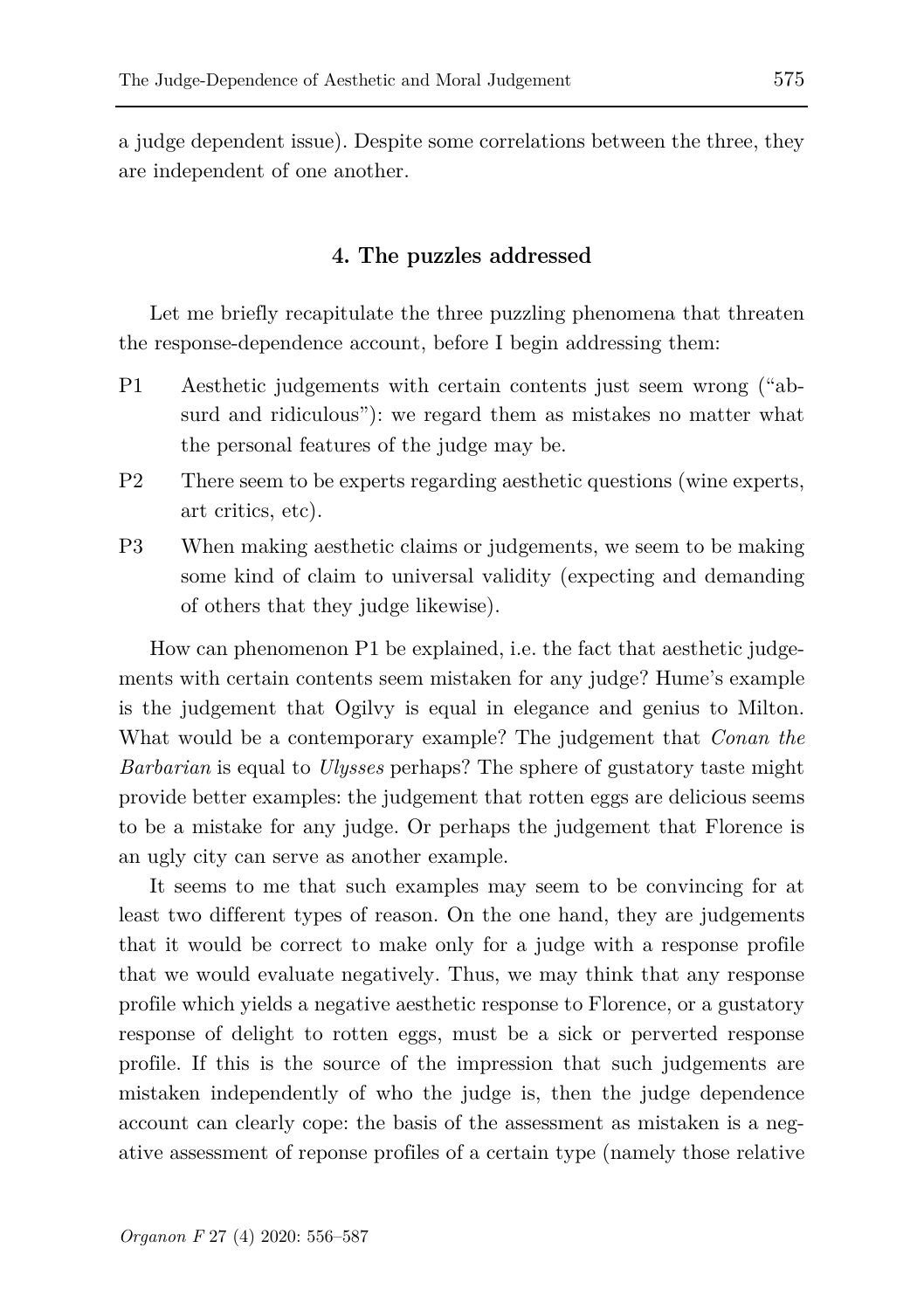a judge dependent issue). Despite some correlations between the three, they are independent of one another.

## **4. The puzzles addressed**

Let me briefly recapitulate the three puzzling phenomena that threaten the response-dependence account, before I begin addressing them:

- P1 Aesthetic judgements with certain contents just seem wrong ("absurd and ridiculous"): we regard them as mistakes no matter what the personal features of the judge may be.
- P2 There seem to be experts regarding aesthetic questions (wine experts, art critics, etc).
- P3 When making aesthetic claims or judgements, we seem to be making some kind of claim to universal validity (expecting and demanding of others that they judge likewise).

How can phenomenon P1 be explained, i.e. the fact that aesthetic judgements with certain contents seem mistaken for any judge? Hume's example is the judgement that Ogilvy is equal in elegance and genius to Milton. What would be a contemporary example? The judgement that *Conan the Barbarian* is equal to *Ulysses* perhaps? The sphere of gustatory taste might provide better examples: the judgement that rotten eggs are delicious seems to be a mistake for any judge. Or perhaps the judgement that Florence is an ugly city can serve as another example.

It seems to me that such examples may seem to be convincing for at least two different types of reason. On the one hand, they are judgements that it would be correct to make only for a judge with a response profile that we would evaluate negatively. Thus, we may think that any response profile which yields a negative aesthetic response to Florence, or a gustatory response of delight to rotten eggs, must be a sick or perverted response profile. If this is the source of the impression that such judgements are mistaken independently of who the judge is, then the judge dependence account can clearly cope: the basis of the assessment as mistaken is a negative assessment of reponse profiles of a certain type (namely those relative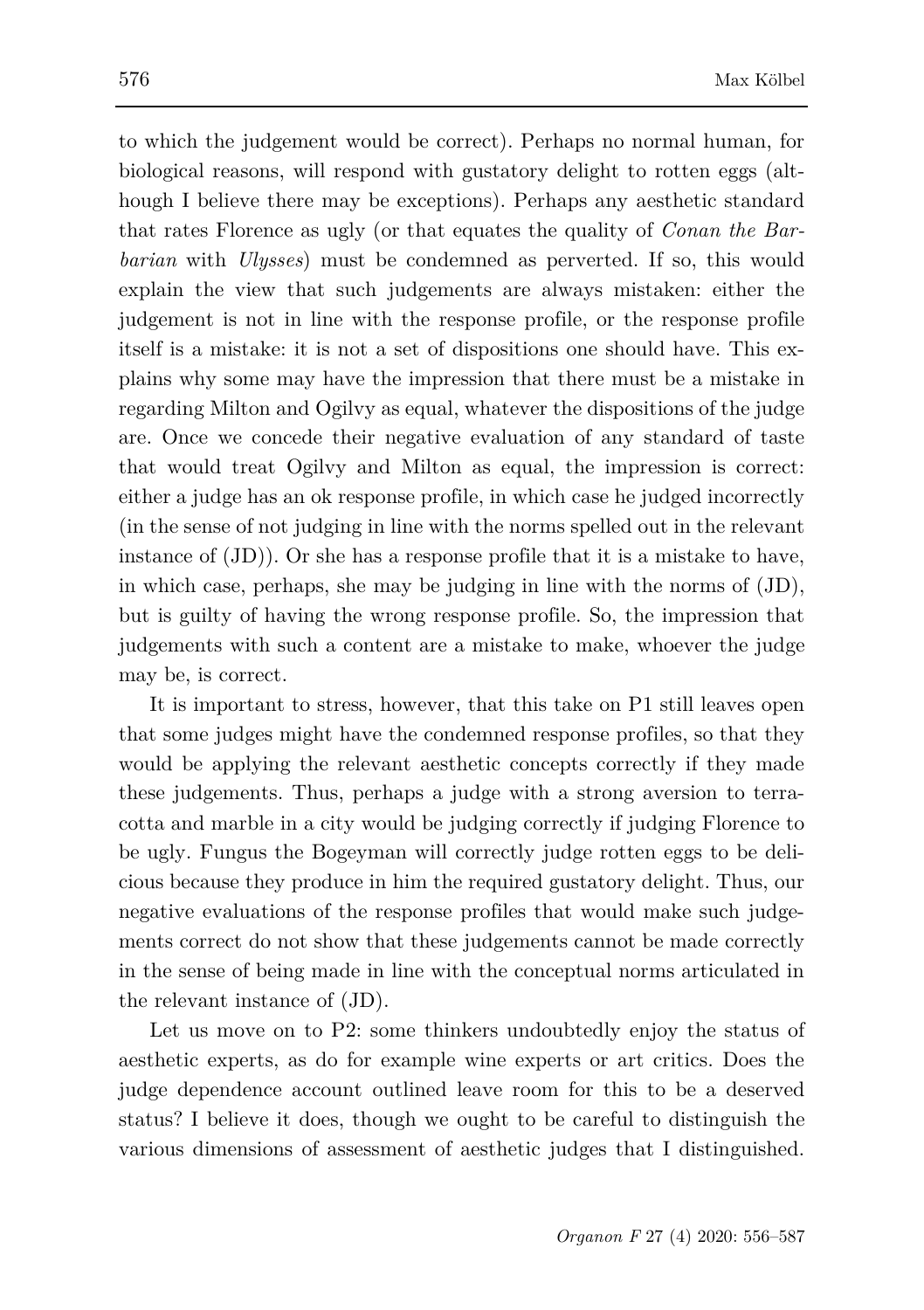to which the judgement would be correct). Perhaps no normal human, for biological reasons, will respond with gustatory delight to rotten eggs (although I believe there may be exceptions). Perhaps any aesthetic standard that rates Florence as ugly (or that equates the quality of *Conan the Barbarian* with *Ulysses*) must be condemned as perverted. If so, this would explain the view that such judgements are always mistaken: either the judgement is not in line with the response profile, or the response profile itself is a mistake: it is not a set of dispositions one should have. This explains why some may have the impression that there must be a mistake in regarding Milton and Ogilvy as equal, whatever the dispositions of the judge are. Once we concede their negative evaluation of any standard of taste that would treat Ogilvy and Milton as equal, the impression is correct: either a judge has an ok response profile, in which case he judged incorrectly (in the sense of not judging in line with the norms spelled out in the relevant instance of (JD)). Or she has a response profile that it is a mistake to have, in which case, perhaps, she may be judging in line with the norms of (JD), but is guilty of having the wrong response profile. So, the impression that judgements with such a content are a mistake to make, whoever the judge may be, is correct.

It is important to stress, however, that this take on P1 still leaves open that some judges might have the condemned response profiles, so that they would be applying the relevant aesthetic concepts correctly if they made these judgements. Thus, perhaps a judge with a strong aversion to terracotta and marble in a city would be judging correctly if judging Florence to be ugly. Fungus the Bogeyman will correctly judge rotten eggs to be delicious because they produce in him the required gustatory delight. Thus, our negative evaluations of the response profiles that would make such judgements correct do not show that these judgements cannot be made correctly in the sense of being made in line with the conceptual norms articulated in the relevant instance of (JD).

Let us move on to P2: some thinkers undoubtedly enjoy the status of aesthetic experts, as do for example wine experts or art critics. Does the judge dependence account outlined leave room for this to be a deserved status? I believe it does, though we ought to be careful to distinguish the various dimensions of assessment of aesthetic judges that I distinguished.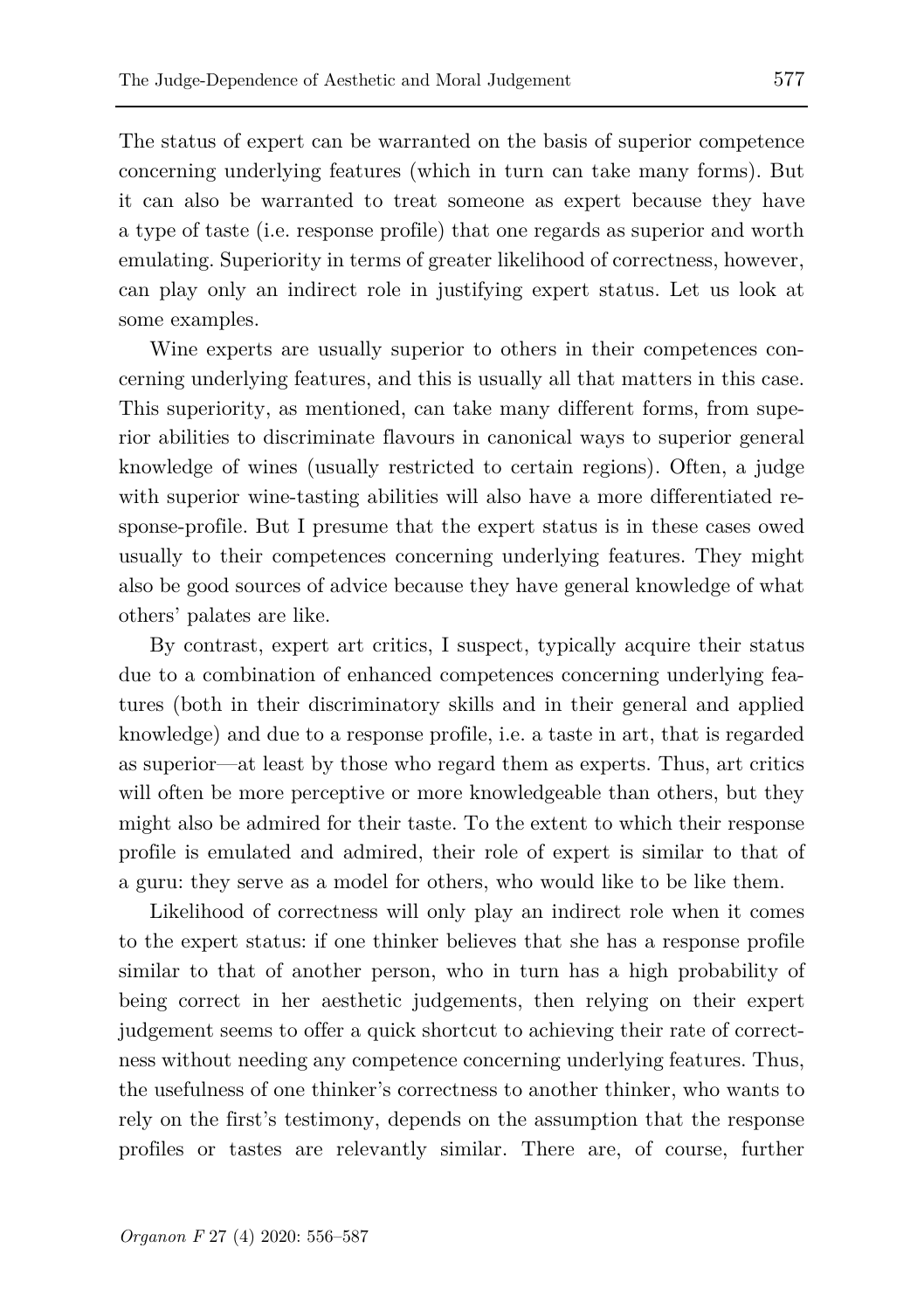The status of expert can be warranted on the basis of superior competence concerning underlying features (which in turn can take many forms). But it can also be warranted to treat someone as expert because they have a type of taste (i.e. response profile) that one regards as superior and worth emulating. Superiority in terms of greater likelihood of correctness, however, can play only an indirect role in justifying expert status. Let us look at some examples.

Wine experts are usually superior to others in their competences concerning underlying features, and this is usually all that matters in this case. This superiority, as mentioned, can take many different forms, from superior abilities to discriminate flavours in canonical ways to superior general knowledge of wines (usually restricted to certain regions). Often, a judge with superior wine-tasting abilities will also have a more differentiated response-profile. But I presume that the expert status is in these cases owed usually to their competences concerning underlying features. They might also be good sources of advice because they have general knowledge of what others' palates are like.

By contrast, expert art critics, I suspect, typically acquire their status due to a combination of enhanced competences concerning underlying features (both in their discriminatory skills and in their general and applied knowledge) and due to a response profile, i.e. a taste in art, that is regarded as superior—at least by those who regard them as experts. Thus, art critics will often be more perceptive or more knowledgeable than others, but they might also be admired for their taste. To the extent to which their response profile is emulated and admired, their role of expert is similar to that of a guru: they serve as a model for others, who would like to be like them.

Likelihood of correctness will only play an indirect role when it comes to the expert status: if one thinker believes that she has a response profile similar to that of another person, who in turn has a high probability of being correct in her aesthetic judgements, then relying on their expert judgement seems to offer a quick shortcut to achieving their rate of correctness without needing any competence concerning underlying features. Thus, the usefulness of one thinker's correctness to another thinker, who wants to rely on the first's testimony, depends on the assumption that the response profiles or tastes are relevantly similar. There are, of course, further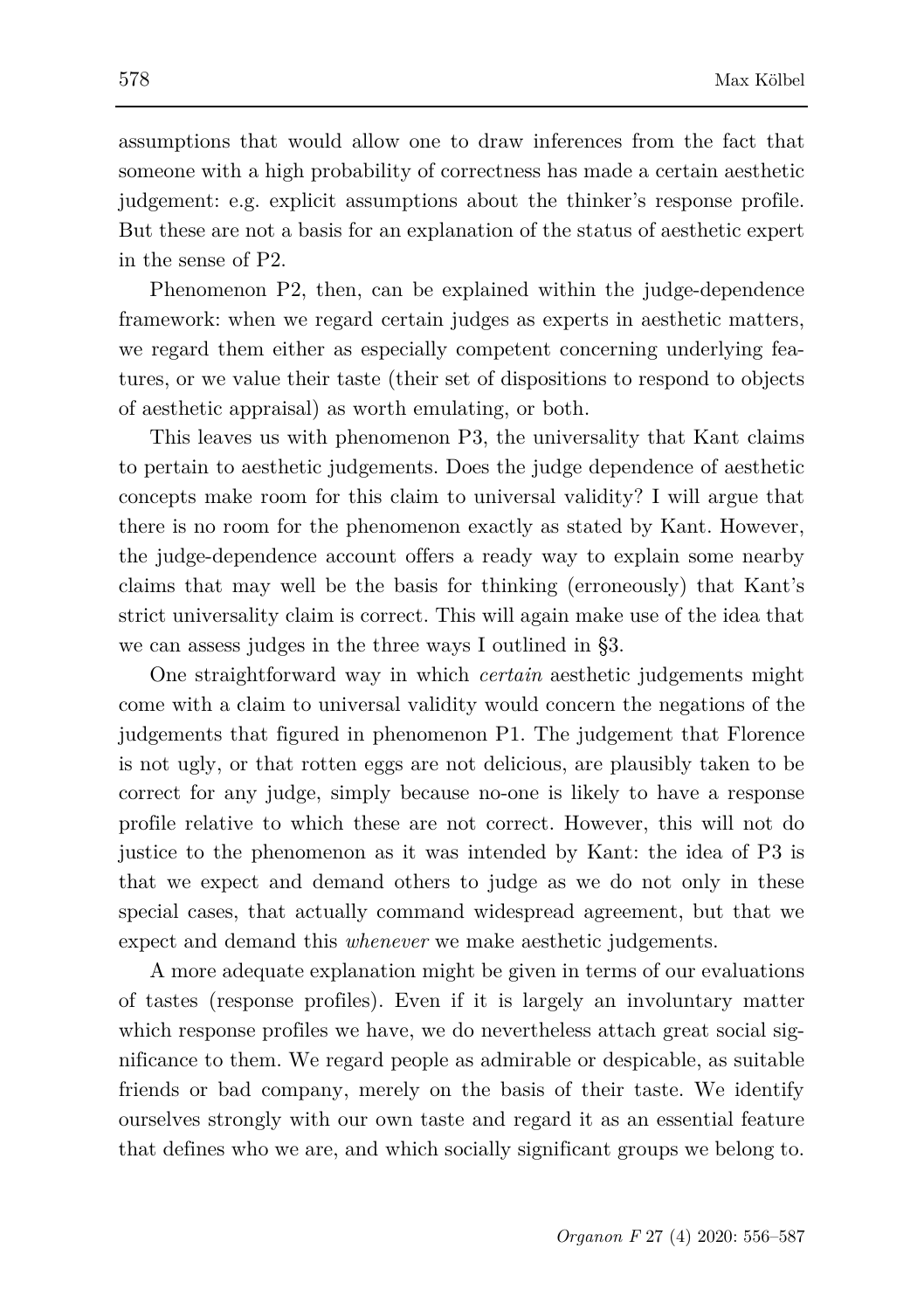assumptions that would allow one to draw inferences from the fact that someone with a high probability of correctness has made a certain aesthetic judgement: e.g. explicit assumptions about the thinker's response profile. But these are not a basis for an explanation of the status of aesthetic expert in the sense of P2.

Phenomenon P2, then, can be explained within the judge-dependence framework: when we regard certain judges as experts in aesthetic matters, we regard them either as especially competent concerning underlying features, or we value their taste (their set of dispositions to respond to objects of aesthetic appraisal) as worth emulating, or both.

This leaves us with phenomenon P3, the universality that Kant claims to pertain to aesthetic judgements. Does the judge dependence of aesthetic concepts make room for this claim to universal validity? I will argue that there is no room for the phenomenon exactly as stated by Kant. However, the judge-dependence account offers a ready way to explain some nearby claims that may well be the basis for thinking (erroneously) that Kant's strict universality claim is correct. This will again make use of the idea that we can assess judges in the three ways I outlined in §3.

One straightforward way in which *certain* aesthetic judgements might come with a claim to universal validity would concern the negations of the judgements that figured in phenomenon P1. The judgement that Florence is not ugly, or that rotten eggs are not delicious, are plausibly taken to be correct for any judge, simply because no-one is likely to have a response profile relative to which these are not correct. However, this will not do justice to the phenomenon as it was intended by Kant: the idea of P3 is that we expect and demand others to judge as we do not only in these special cases, that actually command widespread agreement, but that we expect and demand this *whenever* we make aesthetic judgements.

A more adequate explanation might be given in terms of our evaluations of tastes (response profiles). Even if it is largely an involuntary matter which response profiles we have, we do nevertheless attach great social significance to them. We regard people as admirable or despicable, as suitable friends or bad company, merely on the basis of their taste. We identify ourselves strongly with our own taste and regard it as an essential feature that defines who we are, and which socially significant groups we belong to.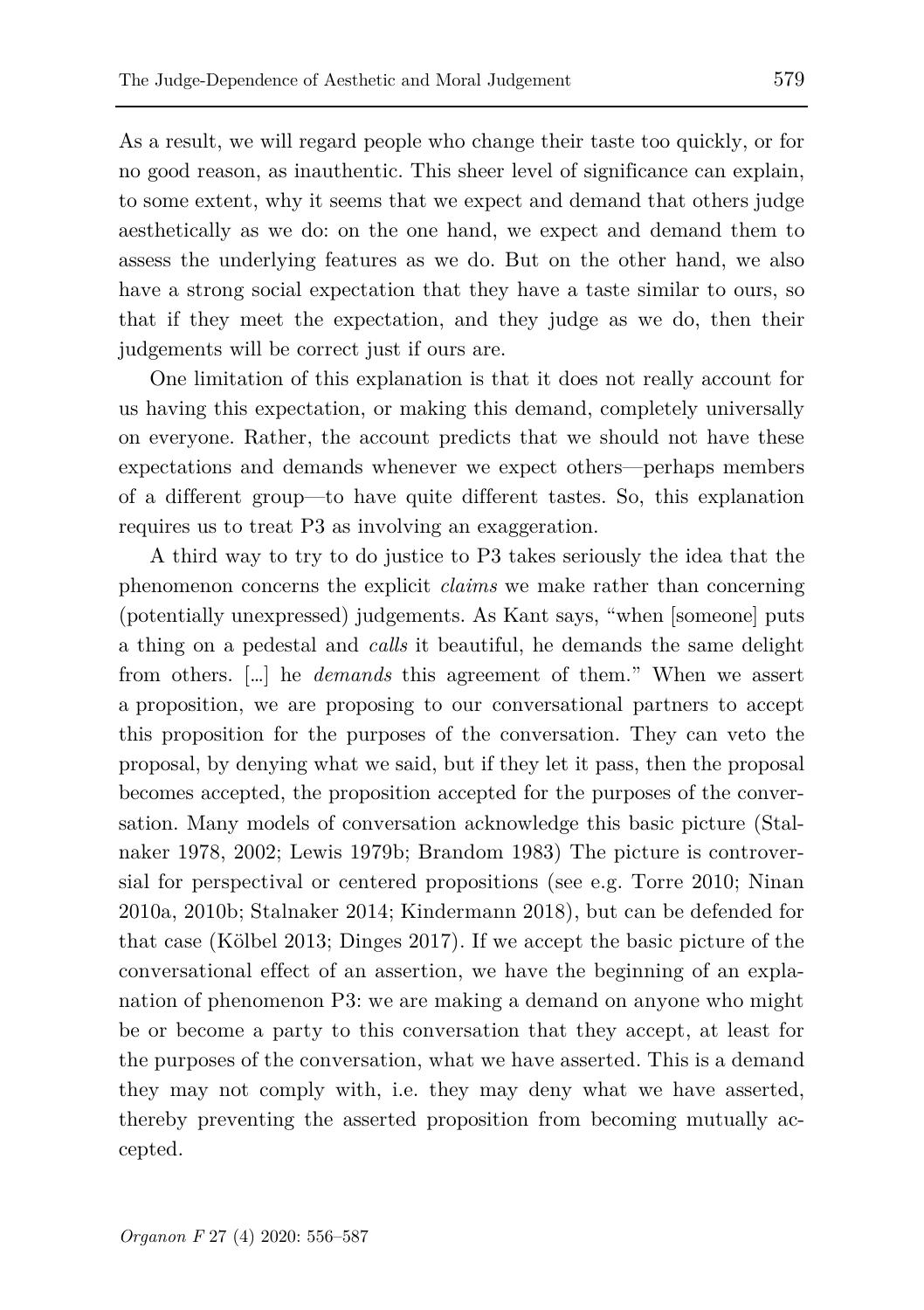As a result, we will regard people who change their taste too quickly, or for no good reason, as inauthentic. This sheer level of significance can explain, to some extent, why it seems that we expect and demand that others judge aesthetically as we do: on the one hand, we expect and demand them to assess the underlying features as we do. But on the other hand, we also have a strong social expectation that they have a taste similar to ours, so that if they meet the expectation, and they judge as we do, then their judgements will be correct just if ours are.

One limitation of this explanation is that it does not really account for us having this expectation, or making this demand, completely universally on everyone. Rather, the account predicts that we should not have these expectations and demands whenever we expect others—perhaps members of a different group—to have quite different tastes. So, this explanation requires us to treat P3 as involving an exaggeration.

A third way to try to do justice to P3 takes seriously the idea that the phenomenon concerns the explicit *claims* we make rather than concerning (potentially unexpressed) judgements. As Kant says, "when [someone] puts a thing on a pedestal and *calls* it beautiful, he demands the same delight from others. […] he *demands* this agreement of them." When we assert a proposition, we are proposing to our conversational partners to accept this proposition for the purposes of the conversation. They can veto the proposal, by denying what we said, but if they let it pass, then the proposal becomes accepted, the proposition accepted for the purposes of the conversation. Many models of conversation acknowledge this basic picture (Stalnaker 1978, 2002; Lewis 1979b; Brandom 1983) The picture is controversial for perspectival or centered propositions (see e.g. Torre 2010; Ninan 2010a, 2010b; Stalnaker 2014; Kindermann 2018), but can be defended for that case (Kölbel 2013; Dinges 2017). If we accept the basic picture of the conversational effect of an assertion, we have the beginning of an explanation of phenomenon P3: we are making a demand on anyone who might be or become a party to this conversation that they accept, at least for the purposes of the conversation, what we have asserted. This is a demand they may not comply with, i.e. they may deny what we have asserted, thereby preventing the asserted proposition from becoming mutually accepted.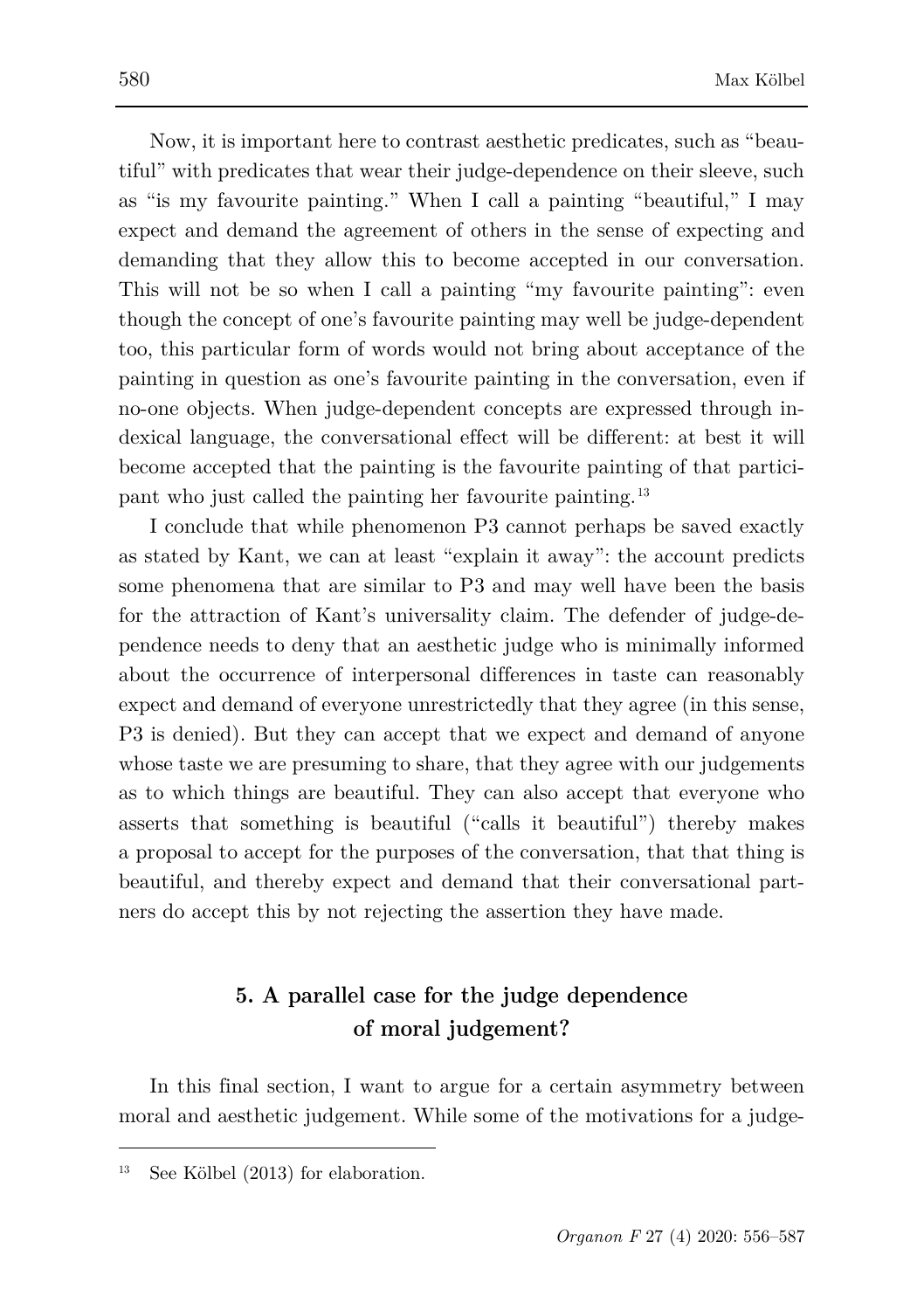Now, it is important here to contrast aesthetic predicates, such as "beautiful" with predicates that wear their judge-dependence on their sleeve, such as "is my favourite painting." When I call a painting "beautiful," I may expect and demand the agreement of others in the sense of expecting and demanding that they allow this to become accepted in our conversation. This will not be so when I call a painting "my favourite painting": even though the concept of one's favourite painting may well be judge-dependent too, this particular form of words would not bring about acceptance of the painting in question as one's favourite painting in the conversation, even if no-one objects. When judge-dependent concepts are expressed through indexical language, the conversational effect will be different: at best it will become accepted that the painting is the favourite painting of that participant who just called the painting her favourite painting.[13](#page-24-0)

I conclude that while phenomenon P3 cannot perhaps be saved exactly as stated by Kant, we can at least "explain it away": the account predicts some phenomena that are similar to P3 and may well have been the basis for the attraction of Kant's universality claim. The defender of judge-dependence needs to deny that an aesthetic judge who is minimally informed about the occurrence of interpersonal differences in taste can reasonably expect and demand of everyone unrestrictedly that they agree (in this sense, P3 is denied). But they can accept that we expect and demand of anyone whose taste we are presuming to share, that they agree with our judgements as to which things are beautiful. They can also accept that everyone who asserts that something is beautiful ("calls it beautiful") thereby makes a proposal to accept for the purposes of the conversation, that that thing is beautiful, and thereby expect and demand that their conversational partners do accept this by not rejecting the assertion they have made.

# **5. A parallel case for the judge dependence of moral judgement?**

In this final section, I want to argue for a certain asymmetry between moral and aesthetic judgement. While some of the motivations for a judge-

<span id="page-24-0"></span><sup>13</sup> See Kölbel (2013) for elaboration.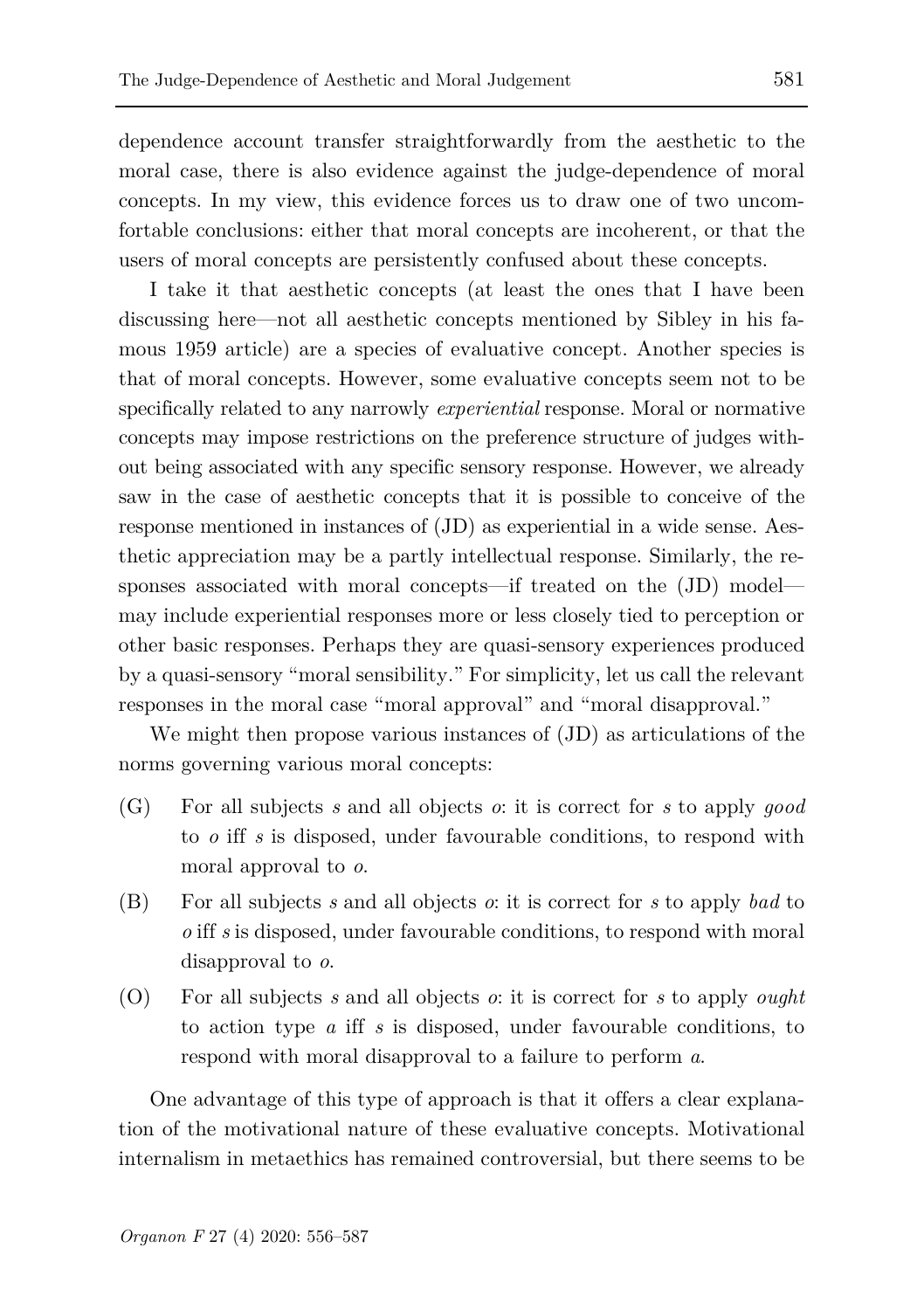dependence account transfer straightforwardly from the aesthetic to the moral case, there is also evidence against the judge-dependence of moral concepts. In my view, this evidence forces us to draw one of two uncomfortable conclusions: either that moral concepts are incoherent, or that the users of moral concepts are persistently confused about these concepts.

I take it that aesthetic concepts (at least the ones that I have been discussing here—not all aesthetic concepts mentioned by Sibley in his famous 1959 article) are a species of evaluative concept. Another species is that of moral concepts. However, some evaluative concepts seem not to be specifically related to any narrowly *experiential* response. Moral or normative concepts may impose restrictions on the preference structure of judges without being associated with any specific sensory response. However, we already saw in the case of aesthetic concepts that it is possible to conceive of the response mentioned in instances of (JD) as experiential in a wide sense. Aesthetic appreciation may be a partly intellectual response. Similarly, the responses associated with moral concepts—if treated on the (JD) model may include experiential responses more or less closely tied to perception or other basic responses. Perhaps they are quasi-sensory experiences produced by a quasi-sensory "moral sensibility." For simplicity, let us call the relevant responses in the moral case "moral approval" and "moral disapproval."

We might then propose various instances of (JD) as articulations of the norms governing various moral concepts:

- (G) For all subjects *s* and all objects *o*: it is correct for *s* to apply *good*  to *o* iff *s* is disposed, under favourable conditions, to respond with moral approval to *o*.
- (B) For all subjects *s* and all objects *o*: it is correct for *s* to apply *bad* to *o* iff *s* is disposed, under favourable conditions, to respond with moral disapproval to *o*.
- (O) For all subjects *s* and all objects *o*: it is correct for *s* to apply *ought*  to action type *a* iff *s* is disposed, under favourable conditions, to respond with moral disapproval to a failure to perform *a*.

One advantage of this type of approach is that it offers a clear explanation of the motivational nature of these evaluative concepts. Motivational internalism in metaethics has remained controversial, but there seems to be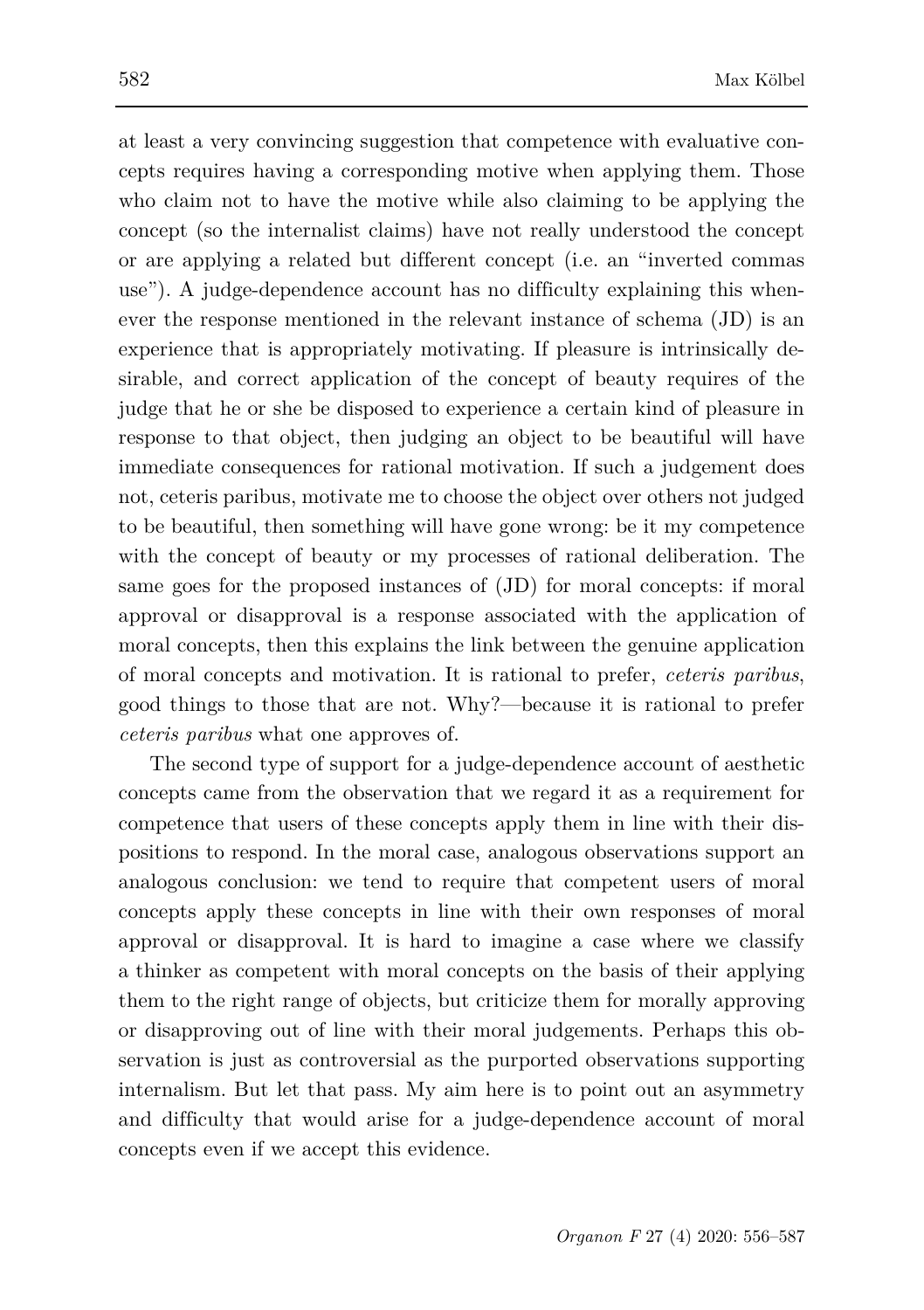at least a very convincing suggestion that competence with evaluative concepts requires having a corresponding motive when applying them. Those who claim not to have the motive while also claiming to be applying the concept (so the internalist claims) have not really understood the concept or are applying a related but different concept (i.e. an "inverted commas use"). A judge-dependence account has no difficulty explaining this whenever the response mentioned in the relevant instance of schema (JD) is an experience that is appropriately motivating. If pleasure is intrinsically desirable, and correct application of the concept of beauty requires of the judge that he or she be disposed to experience a certain kind of pleasure in response to that object, then judging an object to be beautiful will have immediate consequences for rational motivation. If such a judgement does not, ceteris paribus, motivate me to choose the object over others not judged to be beautiful, then something will have gone wrong: be it my competence with the concept of beauty or my processes of rational deliberation. The same goes for the proposed instances of (JD) for moral concepts: if moral approval or disapproval is a response associated with the application of moral concepts, then this explains the link between the genuine application of moral concepts and motivation. It is rational to prefer, *ceteris paribus*, good things to those that are not. Why?—because it is rational to prefer *ceteris paribus* what one approves of.

The second type of support for a judge-dependence account of aesthetic concepts came from the observation that we regard it as a requirement for competence that users of these concepts apply them in line with their dispositions to respond. In the moral case, analogous observations support an analogous conclusion: we tend to require that competent users of moral concepts apply these concepts in line with their own responses of moral approval or disapproval. It is hard to imagine a case where we classify a thinker as competent with moral concepts on the basis of their applying them to the right range of objects, but criticize them for morally approving or disapproving out of line with their moral judgements. Perhaps this observation is just as controversial as the purported observations supporting internalism. But let that pass. My aim here is to point out an asymmetry and difficulty that would arise for a judge-dependence account of moral concepts even if we accept this evidence.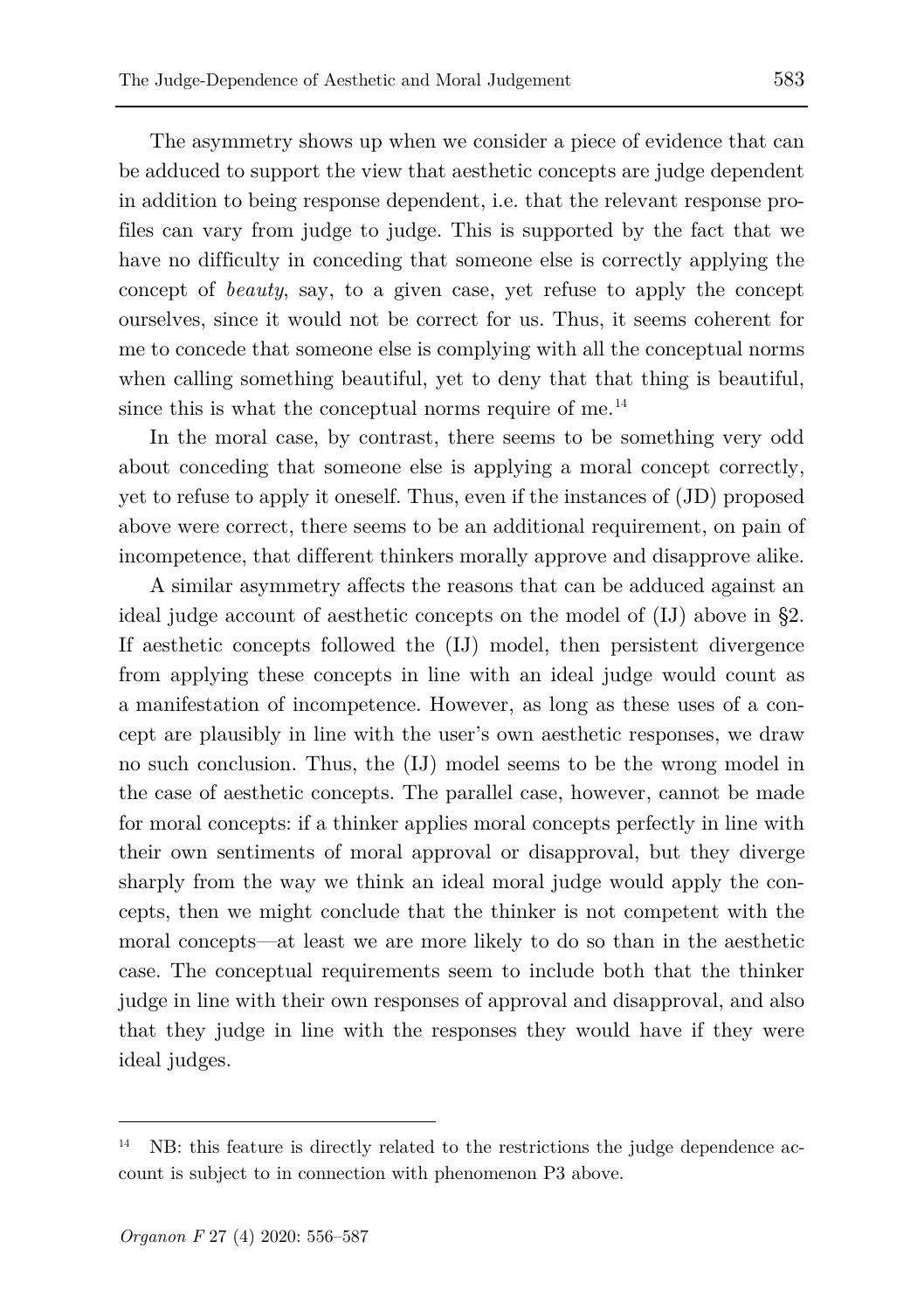The asymmetry shows up when we consider a piece of evidence that can be adduced to support the view that aesthetic concepts are judge dependent in addition to being response dependent, i.e. that the relevant response profiles can vary from judge to judge. This is supported by the fact that we have no difficulty in conceding that someone else is correctly applying the concept of *beauty*, say, to a given case, yet refuse to apply the concept ourselves, since it would not be correct for us. Thus, it seems coherent for me to concede that someone else is complying with all the conceptual norms when calling something beautiful, yet to deny that that thing is beautiful, since this is what the conceptual norms require of me.<sup>[14](#page-27-0)</sup>

In the moral case, by contrast, there seems to be something very odd about conceding that someone else is applying a moral concept correctly, yet to refuse to apply it oneself. Thus, even if the instances of (JD) proposed above were correct, there seems to be an additional requirement, on pain of incompetence, that different thinkers morally approve and disapprove alike.

A similar asymmetry affects the reasons that can be adduced against an ideal judge account of aesthetic concepts on the model of (IJ) above in §2. If aesthetic concepts followed the (IJ) model, then persistent divergence from applying these concepts in line with an ideal judge would count as a manifestation of incompetence. However, as long as these uses of a concept are plausibly in line with the user's own aesthetic responses, we draw no such conclusion. Thus, the (IJ) model seems to be the wrong model in the case of aesthetic concepts. The parallel case, however, cannot be made for moral concepts: if a thinker applies moral concepts perfectly in line with their own sentiments of moral approval or disapproval, but they diverge sharply from the way we think an ideal moral judge would apply the concepts, then we might conclude that the thinker is not competent with the moral concepts—at least we are more likely to do so than in the aesthetic case. The conceptual requirements seem to include both that the thinker judge in line with their own responses of approval and disapproval, and also that they judge in line with the responses they would have if they were ideal judges.

<span id="page-27-0"></span>NB: this feature is directly related to the restrictions the judge dependence account is subject to in connection with phenomenon P3 above.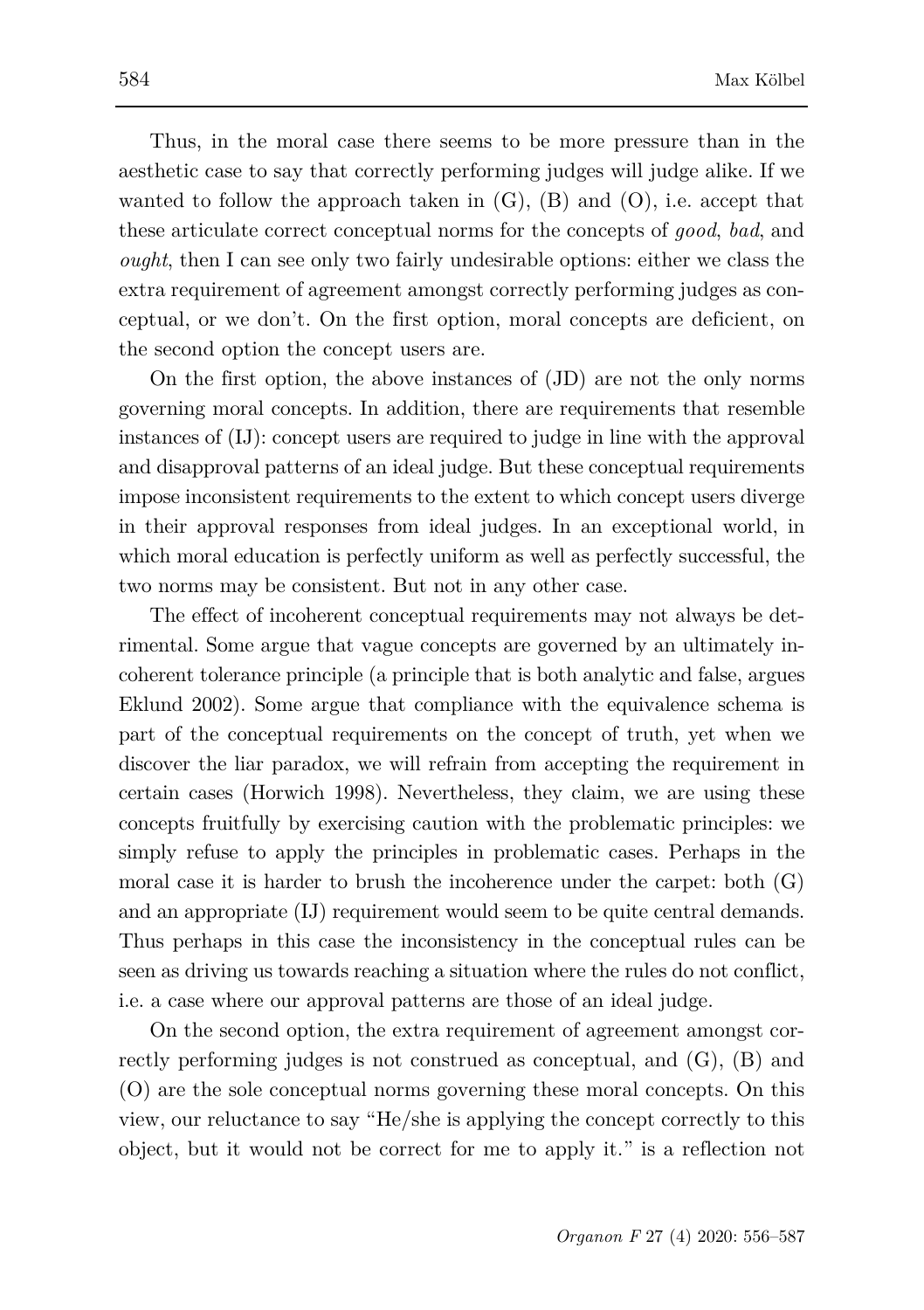Thus, in the moral case there seems to be more pressure than in the aesthetic case to say that correctly performing judges will judge alike. If we wanted to follow the approach taken in  $(G)$ ,  $(B)$  and  $(O)$ , i.e. accept that these articulate correct conceptual norms for the concepts of *good*, *bad*, and *ought*, then I can see only two fairly undesirable options: either we class the extra requirement of agreement amongst correctly performing judges as conceptual, or we don't. On the first option, moral concepts are deficient, on the second option the concept users are.

On the first option, the above instances of (JD) are not the only norms governing moral concepts. In addition, there are requirements that resemble instances of (IJ): concept users are required to judge in line with the approval and disapproval patterns of an ideal judge. But these conceptual requirements impose inconsistent requirements to the extent to which concept users diverge in their approval responses from ideal judges. In an exceptional world, in which moral education is perfectly uniform as well as perfectly successful, the two norms may be consistent. But not in any other case.

The effect of incoherent conceptual requirements may not always be detrimental. Some argue that vague concepts are governed by an ultimately incoherent tolerance principle (a principle that is both analytic and false, argues Eklund 2002). Some argue that compliance with the equivalence schema is part of the conceptual requirements on the concept of truth, yet when we discover the liar paradox, we will refrain from accepting the requirement in certain cases (Horwich 1998). Nevertheless, they claim, we are using these concepts fruitfully by exercising caution with the problematic principles: we simply refuse to apply the principles in problematic cases. Perhaps in the moral case it is harder to brush the incoherence under the carpet: both  $(G)$ and an appropriate (IJ) requirement would seem to be quite central demands. Thus perhaps in this case the inconsistency in the conceptual rules can be seen as driving us towards reaching a situation where the rules do not conflict, i.e. a case where our approval patterns are those of an ideal judge.

On the second option, the extra requirement of agreement amongst correctly performing judges is not construed as conceptual, and (G), (B) and (O) are the sole conceptual norms governing these moral concepts. On this view, our reluctance to say "He/she is applying the concept correctly to this object, but it would not be correct for me to apply it." is a reflection not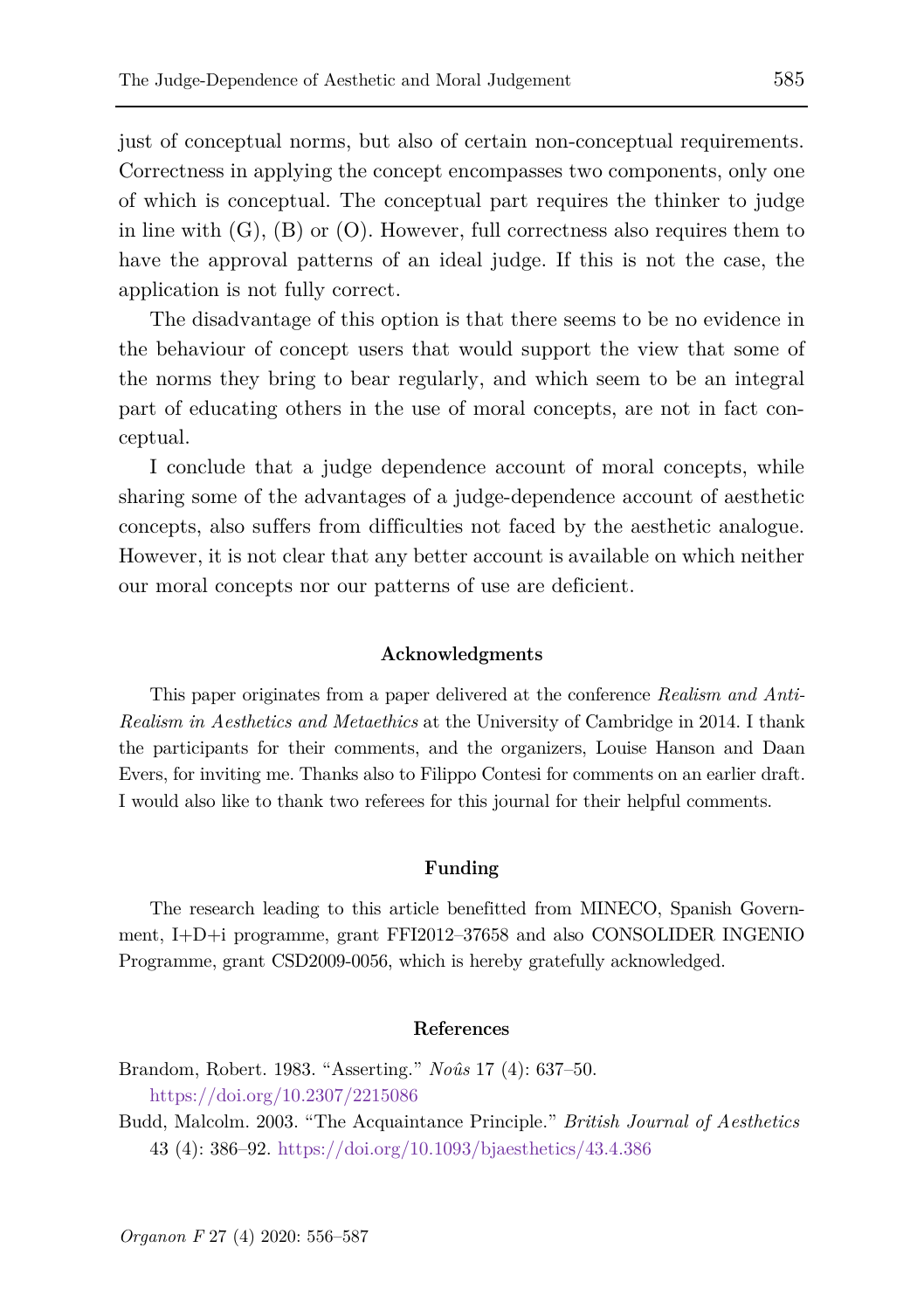just of conceptual norms, but also of certain non-conceptual requirements. Correctness in applying the concept encompasses two components, only one of which is conceptual. The conceptual part requires the thinker to judge in line with  $(G)$ ,  $(B)$  or  $(O)$ . However, full correctness also requires them to have the approval patterns of an ideal judge. If this is not the case, the application is not fully correct.

The disadvantage of this option is that there seems to be no evidence in the behaviour of concept users that would support the view that some of the norms they bring to bear regularly, and which seem to be an integral part of educating others in the use of moral concepts, are not in fact conceptual.

I conclude that a judge dependence account of moral concepts, while sharing some of the advantages of a judge-dependence account of aesthetic concepts, also suffers from difficulties not faced by the aesthetic analogue. However, it is not clear that any better account is available on which neither our moral concepts nor our patterns of use are deficient.

#### **Acknowledgments**

This paper originates from a paper delivered at the conference *Realism and Anti-Realism in Aesthetics and Metaethics* at the University of Cambridge in 2014. I thank the participants for their comments, and the organizers, Louise Hanson and Daan Evers, for inviting me. Thanks also to Filippo Contesi for comments on an earlier draft. I would also like to thank two referees for this journal for their helpful comments.

#### **Funding**

The research leading to this article benefitted from MINECO, Spanish Government, I+D+i programme, grant FFI2012–37658 and also CONSOLIDER INGENIO Programme, grant CSD2009-0056, which is hereby gratefully acknowledged.

#### **References**

Brandom, Robert. 1983. "Asserting." *Noûs* 17 (4): 637–50. <https://doi.org/10.2307/2215086>

Budd, Malcolm. 2003. "The Acquaintance Principle." *British Journal of Aesthetics* 43 (4): 386–92.<https://doi.org/10.1093/bjaesthetics/43.4.386>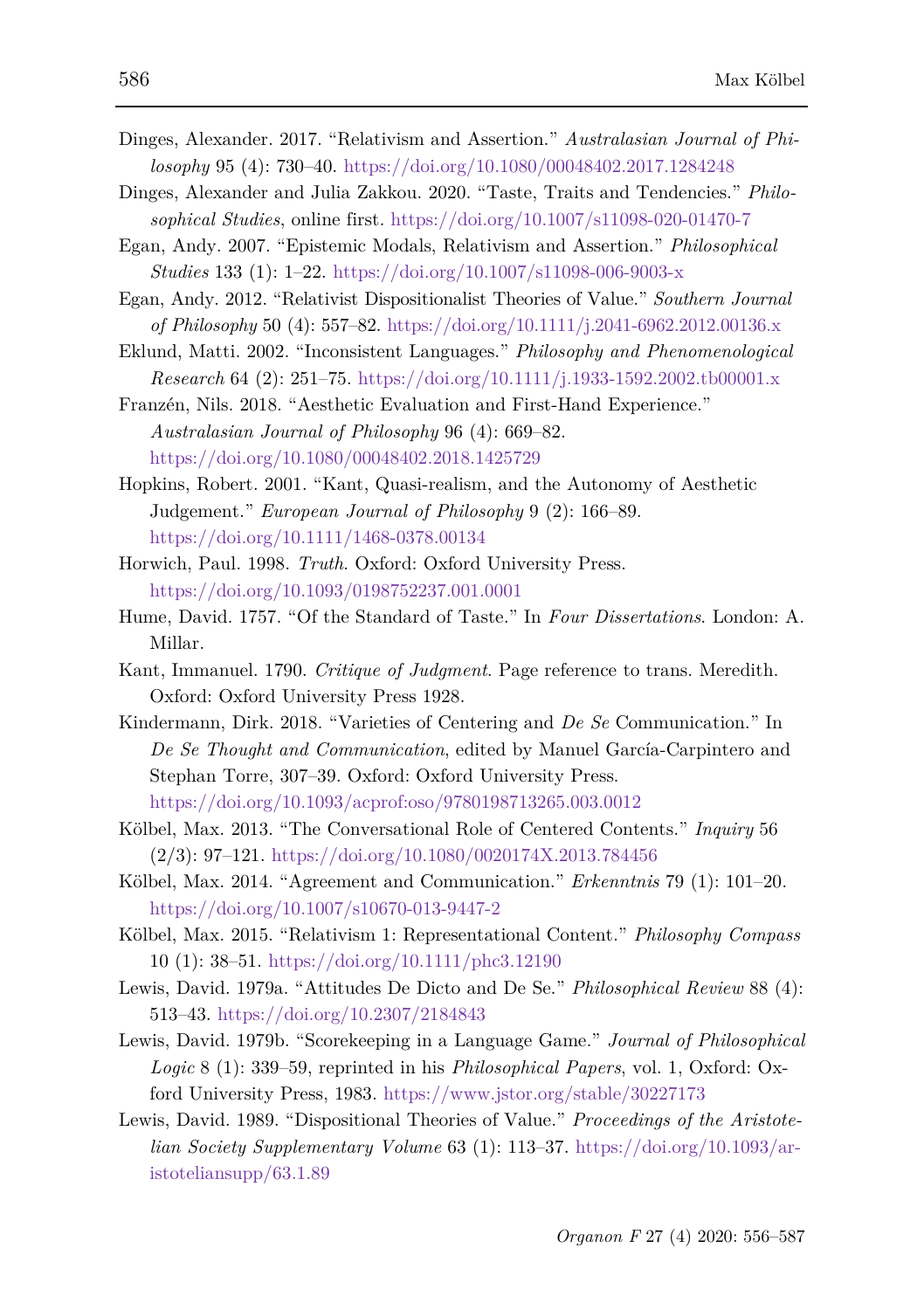- Dinges, Alexander. 2017. "Relativism and Assertion." *Australasian Journal of Philosophy* 95 (4): 730–40. <https://doi.org/10.1080/00048402.2017.1284248>
- Dinges, Alexander and Julia Zakkou. 2020. "Taste, Traits and Tendencies." *Philosophical Studies*, online first.<https://doi.org/10.1007/s11098-020-01470-7>
- Egan, Andy. 2007. "Epistemic Modals, Relativism and Assertion." *Philosophical Studies* 133 (1): 1–22.<https://doi.org/10.1007/s11098-006-9003-x>
- Egan, Andy. 2012. "Relativist Dispositionalist Theories of Value." *Southern Journal of Philosophy* 50 (4): 557–82.<https://doi.org/10.1111/j.2041-6962.2012.00136.x>
- Eklund, Matti. 2002. "Inconsistent Languages." *Philosophy and Phenomenological Research* 64 (2): 251–75.<https://doi.org/10.1111/j.1933-1592.2002.tb00001.x>

Franzén, Nils. 2018. "Aesthetic Evaluation and First-Hand Experience." *Australasian Journal of Philosophy* 96 (4): 669–82. <https://doi.org/10.1080/00048402.2018.1425729>

- Hopkins, Robert. 2001. "Kant, Quasi-realism, and the Autonomy of Aesthetic Judgement." *European Journal of Philosophy* 9 (2): 166–89. <https://doi.org/10.1111/1468-0378.00134>
- Horwich, Paul. 1998. *Truth*. Oxford: Oxford University Press. <https://doi.org/10.1093/0198752237.001.0001>
- Hume, David. 1757. "Of the Standard of Taste." In *Four Dissertations*. London: A. Millar.
- Kant, Immanuel. 1790. *Critique of Judgment*. Page reference to trans. Meredith. Oxford: Oxford University Press 1928.
- Kindermann, Dirk. 2018. "Varieties of Centering and *De Se* Communication." In *De Se Thought and Communication*, edited by Manuel García-Carpintero and Stephan Torre, 307–39. Oxford: Oxford University Press. <https://doi.org/10.1093/acprof:oso/9780198713265.003.0012>
- Kölbel, Max. 2013. "The Conversational Role of Centered Contents." *Inquiry* 56 (2/3): 97–121.<https://doi.org/10.1080/0020174X.2013.784456>
- Kölbel, Max. 2014. "Agreement and Communication." *Erkenntnis* 79 (1): 101–20. <https://doi.org/10.1007/s10670-013-9447-2>
- Kölbel, Max. 2015. "Relativism 1: Representational Content." *Philosophy Compass*  10 (1): 38–51.<https://doi.org/10.1111/phc3.12190>
- Lewis, David. 1979a. "Attitudes De Dicto and De Se." *Philosophical Review* 88 (4): 513–43.<https://doi.org/10.2307/2184843>
- Lewis, David. 1979b. "Scorekeeping in a Language Game." *Journal of Philosophical Logic* 8 (1): 339–59, reprinted in his *Philosophical Papers*, vol. 1, Oxford: Oxford University Press, 1983.<https://www.jstor.org/stable/30227173>
- Lewis, David. 1989. "Dispositional Theories of Value." *Proceedings of the Aristotelian Society Supplementary Volume* 63 (1): 113–37. [https://doi.org/10.1093/ar](https://doi.org/10.1093/aristoteliansupp/63.1.89)[istoteliansupp/63.1.89](https://doi.org/10.1093/aristoteliansupp/63.1.89)